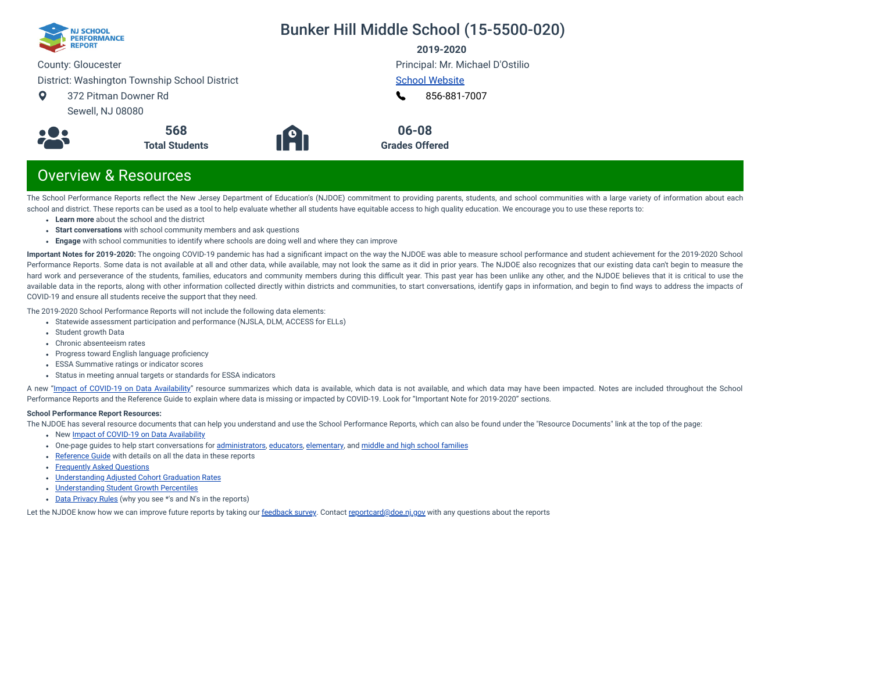

## Bunker Hill Middle School (15-5500-020)

**2019-2020**

County: Gloucester

District: Washington Township School District

 $\bullet$ 372 Pitman Downer Rd Sewell, NJ 08080



**191** 

Principal: Mr. Michael D'Ostilio [School Website](https://www.wtps.org/bunkerhill)

[856-881-7007](tel:+856-881-7007) L

**06-08 Grades Offered**

## Overview & Resources

The School Performance Reports reflect the New Jersey Department of Education's (NJDOE) commitment to providing parents, students, and school communities with a large variety of information about each school and district. These reports can be used as a tool to help evaluate whether all students have equitable access to high quality education. We encourage you to use these reports to:

- **Learn more** about the school and the district
- **Start conversations** with school community members and ask questions

**568 Total Students**

**Engage** with school communities to identify where schools are doing well and where they can improve

**Important Notes for 2019-2020:** The ongoing COVID-19 pandemic has had a signicant impact on the way the NJDOE was able to measure school performance and student achievement for the 2019-2020 School Performance Reports. Some data is not available at all and other data, while available, may not look the same as it did in prior years. The NJDOE also recognizes that our existing data can't begin to measure the hard work and perseverance of the students, families, educators and community members during this difficult year. This past year has been unlike any other, and the NJDOE believes that it is critical to use the available data in the reports, along with other information collected directly within districts and communities, to start conversations, identify gaps in information, and begin to find ways to address the impacts of COVID-19 and ensure all students receive the support that they need.

The 2019-2020 School Performance Reports will not include the following data elements:

- Statewide assessment participation and performance (NJSLA, DLM, ACCESS for ELLs)
- Student growth Data
- Chronic absenteeism rates
- Progress toward English language proficiency
- ESSA Summative ratings or indicator scores
- Status in meeting annual targets or standards for ESSA indicators

A new "Impact of [COVID-19 on](https://www.nj.gov/education/schoolperformance/resources/docs/2019-20%20School%20Performance%20Reports%20-%20Impact%20of%20COVID-19%20on%20Data%20Availability.pdf) Data Availability" resource summarizes which data is available, which data is not available, and which data may have been impacted. Notes are included throughout the School Performance Reports and the Reference Guide to explain where data is missing or impacted by COVID-19. Look for "Important Note for 2019-2020" sections.

#### **School Performance Report Resources:**

The NJDOE has several resource documents that can help you understand and use the School Performance Reports, which can also be found under the "Resource Documents" link at the top of the page:

- New Impact of [COVID-19 on](https://www.nj.gov/education/schoolperformance/resources/docs/2019-20%20School%20Performance%20Reports%20-%20Impact%20of%20COVID-19%20on%20Data%20Availability.pdf) Data Availability
- One-page guides to help start conversations for [administrators](https://www.nj.gov/education/schoolperformance/resources/docs/2019-20%20School%20Performance%20Reports%20-%20One-Page%20Guides%20-%20Administrators.pdf), [educators](https://www.nj.gov/education/schoolperformance/resources/docs/2019-20%20School%20Performance%20Reports%20-%20One-Page%20Guides%20-%20Educators.pdf), [elementary](https://www.nj.gov/education/schoolperformance/resources/docs/2019-20%20School%20Performance%20Reports%20-%20One-Page%20Guides%20-%20FamiliesCommunities.pdf), and middle and high school [families](https://www.nj.gov/education/schoolperformance/resources/docs/2019-20%20School%20Performance%20Reports%20-%20One-Page%20Guides%20-%20MS%20and%20HS.pdf)
- [Reference](https://rc.doe.state.nj.us/Documents/1920/ReferenceGuide.pdf) Guide with details on all the data in these reports
- [Frequently](https://rc.doe.state.nj.us/Documents/1920/FAQs.pdf) Asked Questions
- [Understanding](https://www.nj.gov/education/schoolperformance/grad/docs/Understanding%20Adjusted%20Cohort%20Graduation%20Rates.pdf) Adjusted Cohort Graduation Rates
- [Understanding](https://www.nj.gov/education/schoolperformance/growth/Understanding%20Median%20Student%20Growth%20Percentiles.pdf) Student Growth Percentiles
- Data [Privacy](https://rc.doe.state.nj.us/Documents/1920/DataPrivacyRules.pdf) Rules (why you see \*'s and N's in the reports)

Let the NJDOE know how we can improve future reports by taking our [feedback](https://www.surveymonkey.com/r/2019-20SPR) survey. Contact [reportcard@doe.nj.gov](mailto:reportcard@doe.nj.gov) with any questions about the reports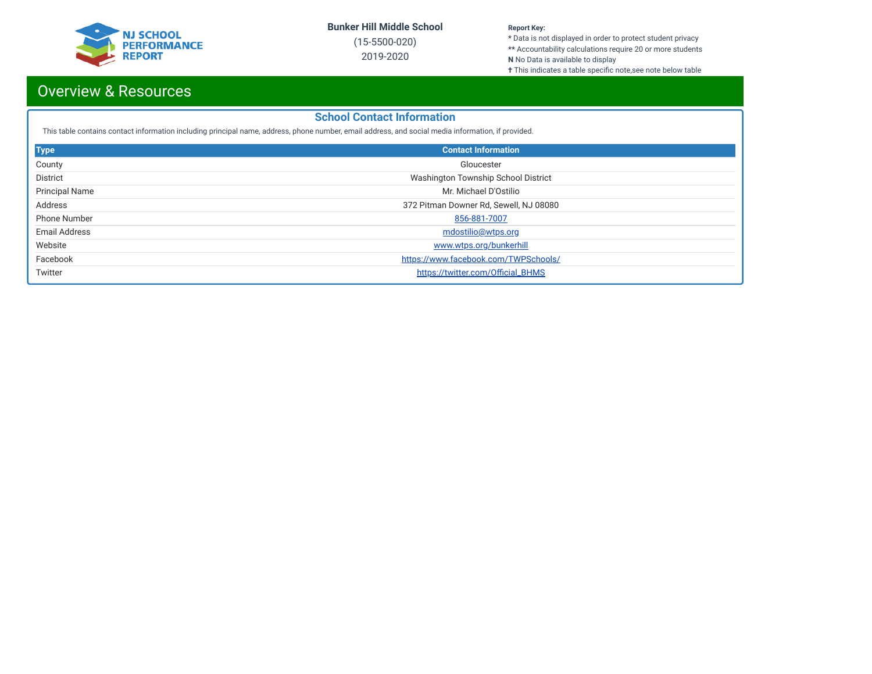

(15-5500-020) 2019-2020

#### **Report Key:**

**\*** Data is not displayed in order to protect student privacy **\*\*** Accountability calculations require 20 or more students

- **N** No Data is available to display
- **†** This indicates a table specific note,see note below table

## Overview & Resources

#### **School Contact Information**

This table contains contact information including principal name, address, phone number, email address, and social media information, if provided.

| <b>Type</b>           | <b>Contact Information</b>             |
|-----------------------|----------------------------------------|
| County                | Gloucester                             |
| District              | Washington Township School District    |
| <b>Principal Name</b> | Mr. Michael D'Ostilio                  |
| Address               | 372 Pitman Downer Rd, Sewell, NJ 08080 |
| <b>Phone Number</b>   | 856-881-7007                           |
| Email Address         | <u>mdostilio@wtps.org</u>              |
| Website               | www.wtps.org/bunkerhill                |
| Facebook              | https://www.facebook.com/TWPSchools/   |
| Twitter               | https://twitter.com/Official_BHMS      |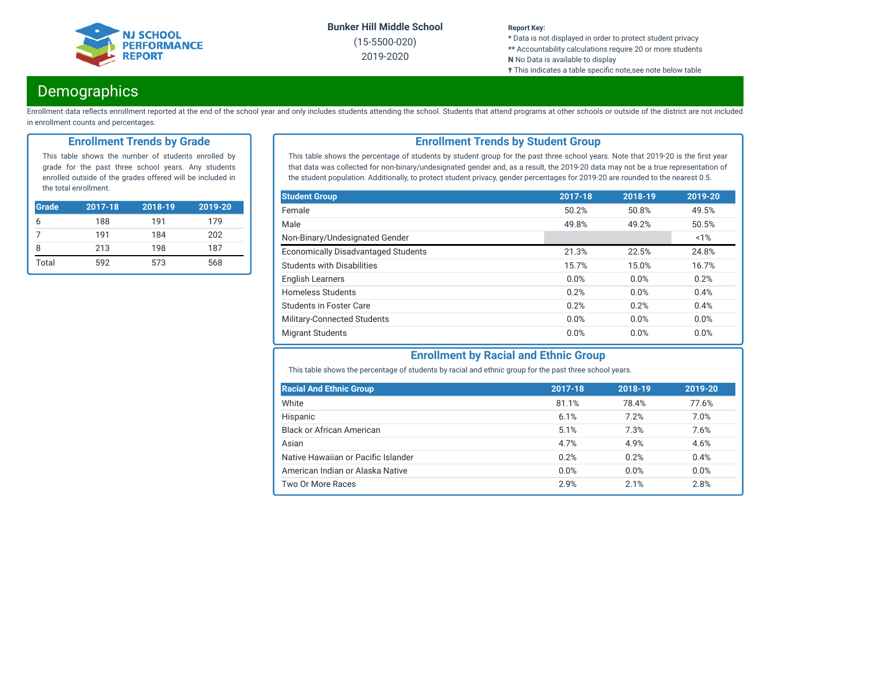

(15-5500-020) 2019-2020

#### **Report Key:**

**\*** Data is not displayed in order to protect student privacy **\*\*** Accountability calculations require 20 or more students

- **N** No Data is available to display
- **†** This indicates a table specific note,see note below table

### **Demographics**

Enrollment data reflects enrollment reported at the end of the school year and only includes students attending the school. Students that attend programs at other schools or outside of the district are not included in enrollment counts and percentages.

#### **Enrollment Trends by Grade**

This table shows the number of students enrolled by grade for the past three school years. Any students enrolled outside of the grades offered will be included in the total enrollment.

| Grade | 2017-18 | 2018-19 | 2019-20 |
|-------|---------|---------|---------|
| h     | 188     | 191     | 179     |
|       | 191     | 184     | 202     |
| 8     | 213     | 198     | 187     |
| Total | 592     | 573     | 568     |

### **Enrollment Trends by Student Group**

This table shows the percentage of students by student group for the past three school years. Note that 2019-20 is the first year that data was collected for non-binary/undesignated gender and, as a result, the 2019-20 data may not be a true representation of the student population. Additionally, to protect student privacy, gender percentages for 2019-20 are rounded to the nearest 0.5.

| <b>Student Group</b>                       | 2017-18 | 2018-19 | 2019-20 |
|--------------------------------------------|---------|---------|---------|
| Female                                     | 50.2%   | 50.8%   | 49.5%   |
| Male                                       | 49.8%   | 49.2%   | 50.5%   |
| Non-Binary/Undesignated Gender             |         |         | 1%      |
| <b>Economically Disadvantaged Students</b> | 21.3%   | 22.5%   | 24.8%   |
| <b>Students with Disabilities</b>          | 15.7%   | 15.0%   | 16.7%   |
| <b>English Learners</b>                    | 0.0%    | 0.0%    | 0.2%    |
| Homeless Students                          | 0.2%    | 0.0%    | 0.4%    |
| Students in Foster Care                    | 0.2%    | 0.2%    | 0.4%    |
| Military-Connected Students                | 0.0%    | 0.0%    | 0.0%    |
| <b>Migrant Students</b>                    | 0.0%    | 0.0%    | 0.0%    |

#### **Enrollment by Racial and Ethnic Group**

This table shows the percentage of students by racial and ethnic group for the past three school years.

| <b>Racial And Ethnic Group</b>      | 2017-18 | 2018-19 | 2019-20 |
|-------------------------------------|---------|---------|---------|
| White                               | 81.1%   | 78.4%   | 77.6%   |
| Hispanic                            | 6.1%    | 7.2%    | 7.0%    |
| Black or African American           | 5.1%    | 7.3%    | 7.6%    |
| Asian                               | 4.7%    | 4.9%    | 4.6%    |
| Native Hawaiian or Pacific Islander | 0.2%    | 0.2%    | 0.4%    |
| American Indian or Alaska Native    | 0.0%    | 0.0%    | 0.0%    |
| Two Or More Races                   | 2.9%    | 2.1%    | 2.8%    |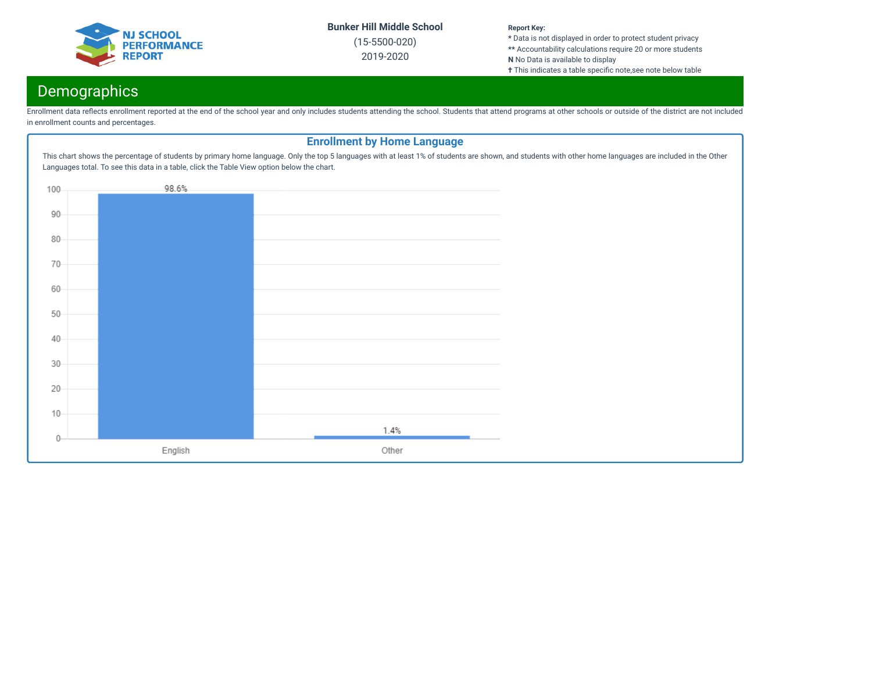

(15-5500-020) 2019-2020

#### **Report Key:**

**\*** Data is not displayed in order to protect student privacy **\*\*** Accountability calculations require 20 or more students **N** No Data is available to display

**†** This indicates a table specific note,see note below table

## **Demographics**

Enrollment data reflects enrollment reported at the end of the school year and only includes students attending the school. Students that attend programs at other schools or outside of the district are not included in enrollment counts and percentages.

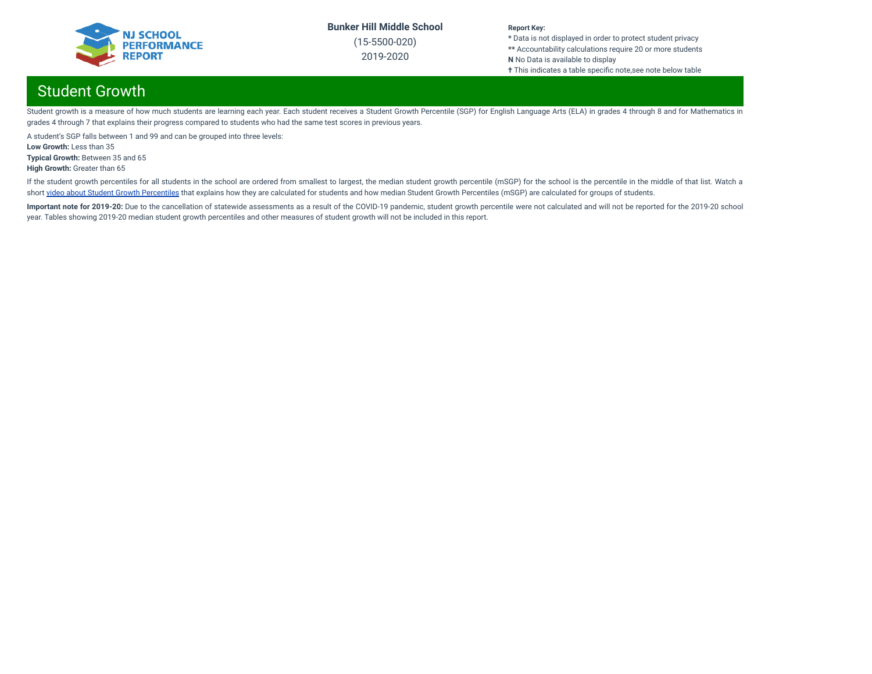

(15-5500-020) 2019-2020

#### **Report Key:**

**\*** Data is not displayed in order to protect student privacy **\*\*** Accountability calculations require 20 or more students **N** No Data is available to display **†** This indicates a table specific note,see note below table

## Student Growth

Student growth is a measure of how much students are learning each year. Each student receives a Student Growth Percentile (SGP) for English Language Arts (ELA) in grades 4 through 8 and for Mathematics in grades 4 through 7 that explains their progress compared to students who had the same test scores in previous years.

A student's SGP falls between 1 and 99 and can be grouped into three levels:

**Low Growth:** Less than 35

**Typical Growth:** Between 35 and 65

**High Growth:** Greater than 65

If the student growth percentiles for all students in the school are ordered from smallest to largest, the median student growth percentile (mSGP) for the school is the percentile in the middle of that list. Watch a short video about Student Growth [Percentiles](http://digitallearning.pcgus.com/NJSMART/sgps/story.html) that explains how they are calculated for students and how median Student Growth Percentiles (mSGP) are calculated for groups of students.

Important note for 2019-20: Due to the cancellation of statewide assessments as a result of the COVID-19 pandemic, student growth percentile were not calculated and will not be reported for the 2019-20 school year. Tables showing 2019-20 median student growth percentiles and other measures of student growth will not be included in this report.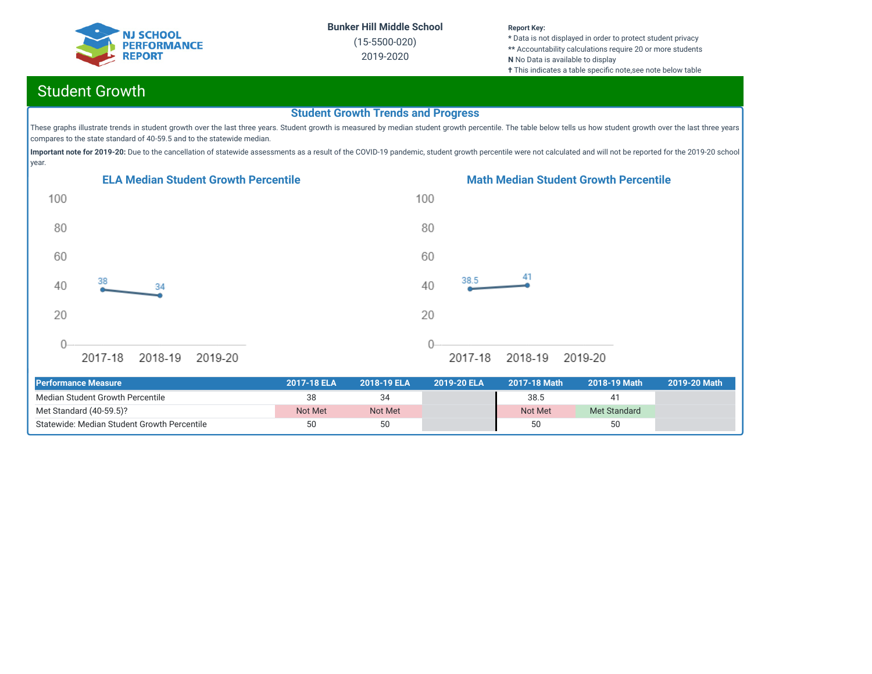

(15-5500-020) 2019-2020

#### **Report Key:**

**\*** Data is not displayed in order to protect student privacy **\*\*** Accountability calculations require 20 or more students **N** No Data is available to display **†** This indicates a table specific note, see note below table

## Student Growth

#### **Student Growth Trends and Progress**

These graphs illustrate trends in student growth over the last three years. Student growth is measured by median student growth percentile. The table below tells us how student growth over the last three years compares to the state standard of 40-59.5 and to the statewide median.

Important note for 2019-20: Due to the cancellation of statewide assessments as a result of the COVID-19 pandemic, student growth percentile were not calculated and will not be reported for the 2019-20 school year.





| <b>Performance Measure</b>                  | 2017-18 ELA | 2018-19 ELA | 2019-20 ELA | 2017-18 Math | ′ 2018-19 Math⊥ | 2019-20 Math |
|---------------------------------------------|-------------|-------------|-------------|--------------|-----------------|--------------|
| Median Student Growth Percentile            |             |             |             | 38.5         |                 |              |
| Met Standard (40-59.5)?                     | Not Met     | Not Met     |             | Not Met      | Met Standard    |              |
| Statewide: Median Student Growth Percentile | 50          | 50          |             | 50           | 50              |              |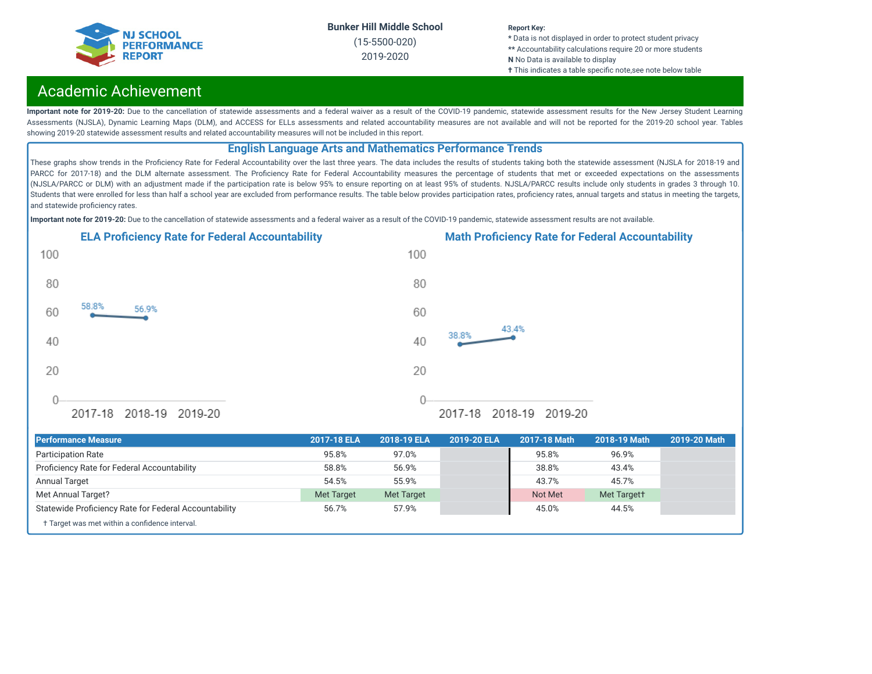

(15-5500-020) 2019-2020

#### **Report Key:**

**\*** Data is not displayed in order to protect student privacy **\*\*** Accountability calculations require 20 or more students **N** No Data is available to display

**†** This indicates a table specific note,see note below table

### Academic Achievement

Important note for 2019-20: Due to the cancellation of statewide assessments and a federal waiver as a result of the COVID-19 pandemic, statewide assessment results for the New Jersey Student Learning Assessments (NJSLA), Dynamic Learning Maps (DLM), and ACCESS for ELLs assessments and related accountability measures are not available and will not be reported for the 2019-20 school year. Tables showing 2019-20 statewide assessment results and related accountability measures will not be included in this report.

#### **English Language Arts and Mathematics Performance Trends**

These graphs show trends in the Proficiency Rate for Federal Accountability over the last three years. The data includes the results of students taking both the statewide assessment (NJSLA for 2018-19 and PARCC for 2017-18) and the DLM alternate assessment. The Proficiency Rate for Federal Accountability measures the percentage of students that met or exceeded expectations on the assessments (NJSLA/PARCC or DLM) with an adjustment made if the participation rate is below 95% to ensure reporting on at least 95% of students. NJSLA/PARCC results include only students in grades 3 through 10. Students that were enrolled for less than half a school year are excluded from performance results. The table below provides participation rates, proficiency rates, annual targets and status in meeting the targets, and statewide proficiency rates.

**Important note for 2019-20:** Due to the cancellation of statewide assessments and a federal waiver as a result of the COVID-19 pandemic, statewide assessment results are not available.







2017-18 2018-19 2019-20

| <b>Performance Measure</b>                            | 2017-18 ELA       | 2018-19 ELA       | 2019-20 ELA | 2017-18 Math | 2018-19 Math | 2019-20 Math |
|-------------------------------------------------------|-------------------|-------------------|-------------|--------------|--------------|--------------|
| <b>Participation Rate</b>                             | 95.8%             | 97.0%             |             | 95.8%        | 96.9%        |              |
| Proficiency Rate for Federal Accountability           | 58.8%             | 56.9%             |             | 38.8%        | 43.4%        |              |
| <b>Annual Target</b>                                  | 54.5%             | 55.9%             |             | 43.7%        | 45.7%        |              |
| Met Annual Target?                                    | <b>Met Target</b> | <b>Met Target</b> |             | Not Met      | Met Targett  |              |
| Statewide Proficiency Rate for Federal Accountability | 56.7%             | 57.9%             |             | 45.0%        | 44.5%        |              |
| † Target was met within a confidence interval.        |                   |                   |             |              |              |              |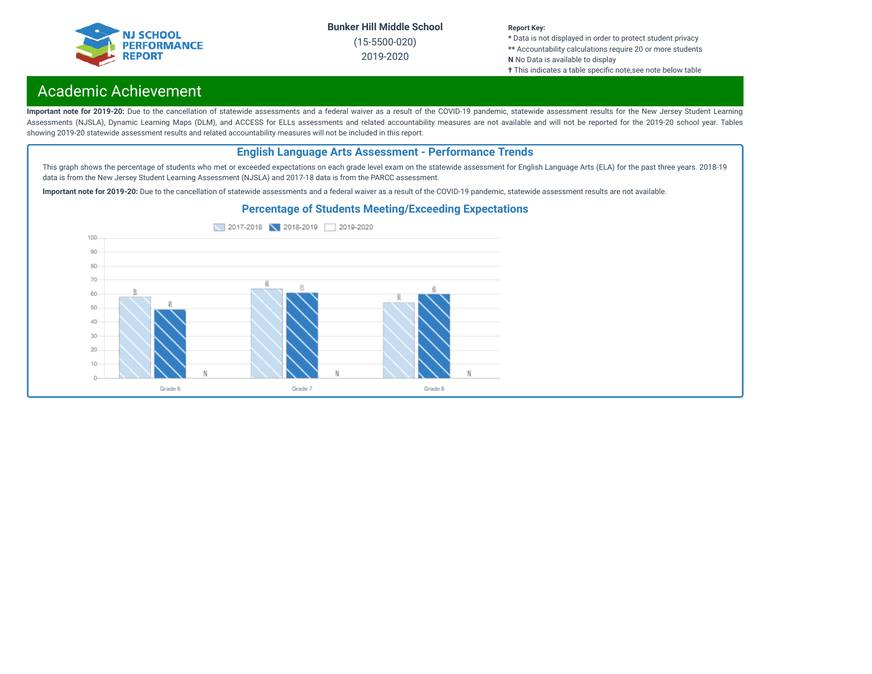

(15-5500-020) 2019-2020

#### **Report Key:**

**\*** Data is not displayed in order to protect student privacy **\*\*** Accountability calculations require 20 or more students **N** No Data is available to display

**†** This indicates a table specific note, see note below table

## Academic Achievement

Important note for 2019-20: Due to the cancellation of statewide assessments and a federal waiver as a result of the COVID-19 pandemic, statewide assessment results for the New Jersey Student Learning Assessments (NJSLA), Dynamic Learning Maps (DLM), and ACCESS for ELLs assessments and related accountability measures are not available and will not be reported for the 2019-20 school year. Tables showing 2019-20 statewide assessment results and related accountability measures will not be included in this report.

#### **English Language Arts Assessment - Performance Trends**

This graph shows the percentage of students who met or exceeded expectations on each grade level exam on the statewide assessment for English Language Arts (ELA) for the past three years. 2018-19 data is from the New Jersey Student Learning Assessment (NJSLA) and 2017-18 data is from the PARCC assessment.

**Important note for 2019-20:** Due to the cancellation of statewide assessments and a federal waiver as a result of the COVID-19 pandemic, statewide assessment results are not available.



#### **Percentage of Students Meeting/Exceeding Expectations**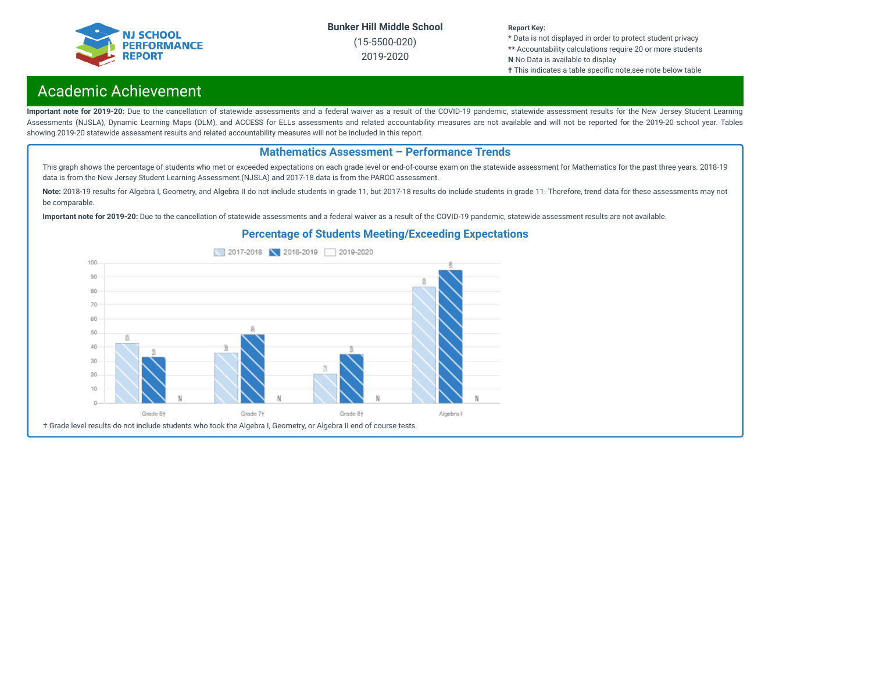

(15-5500-020) 2019-2020

#### **Report Key:**

**\*** Data is not displayed in order to protect student privacy **\*\*** Accountability calculations require 20 or more students **N** No Data is available to display **†** This indicates a table specific note, see note below table

## Academic Achievement

Important note for 2019-20: Due to the cancellation of statewide assessments and a federal waiver as a result of the COVID-19 pandemic, statewide assessment results for the New Jersey Student Learning Assessments (NJSLA), Dynamic Learning Maps (DLM), and ACCESS for ELLs assessments and related accountability measures are not available and will not be reported for the 2019-20 school year. Tables showing 2019-20 statewide assessment results and related accountability measures will not be included in this report.

#### **Mathematics Assessment – Performance Trends**

This graph shows the percentage of students who met or exceeded expectations on each grade level or end-of-course exam on the statewide assessment for Mathematics for the past three years. 2018-19 data is from the New Jersey Student Learning Assessment (NJSLA) and 2017-18 data is from the PARCC assessment.

Note: 2018-19 results for Algebra I, Geometry, and Algebra II do not include students in grade 11, but 2017-18 results do include students in grade 11. Therefore, trend data for these assessments may not be comparable.

**Important note for 2019-20:** Due to the cancellation of statewide assessments and a federal waiver as a result of the COVID-19 pandemic, statewide assessment results are not available.



#### **Percentage of Students Meeting/Exceeding Expectations**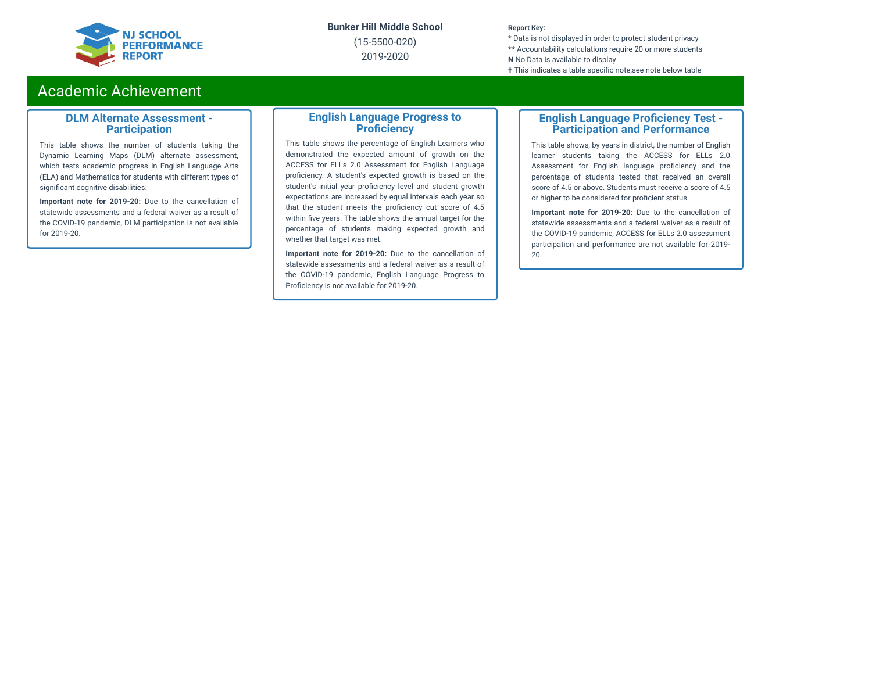

(15-5500-020) 2019-2020

#### **Report Key:**

**\*** Data is not displayed in order to protect student privacy **\*\*** Accountability calculations require 20 or more students **N** No Data is available to display **†** This indicates a table specific note, see note below table

### Academic Achievement

#### **DLM Alternate Assessment - Participation**

This table shows the number of students taking the Dynamic Learning Maps (DLM) alternate assessment, which tests academic progress in English Language Arts (ELA) and Mathematics for students with different types of significant cognitive disabilities.

**Important note for 2019-20:** Due to the cancellation of statewide assessments and a federal waiver as a result of the COVID-19 pandemic, DLM participation is not available for 2019-20.

#### **English Language Progress to Proficiency**

This table shows the percentage of English Learners who demonstrated the expected amount of growth on the ACCESS for ELLs 2.0 Assessment for English Language proficiency. A student's expected growth is based on the student's initial year proficiency level and student growth expectations are increased by equal intervals each year so that the student meets the proficiency cut score of 4.5 within five years. The table shows the annual target for the percentage of students making expected growth and whether that target was met.

**Important note for 2019-20:** Due to the cancellation of statewide assessments and a federal waiver as a result of the COVID-19 pandemic, English Language Progress to Proficiency is not available for 2019-20.

#### **English Language Proficiency Test -Participation and Performance**

This table shows, by years in district, the number of English learner students taking the ACCESS for ELLs 2.0 Assessment for English language proficiency and the percentage of students tested that received an overall score of 4.5 or above. Students must receive a score of 4.5 or higher to be considered for proficient status.

**Important note for 2019-20:** Due to the cancellation of statewide assessments and a federal waiver as a result of the COVID-19 pandemic, ACCESS for ELLs 2.0 assessment participation and performance are not available for 2019- 20.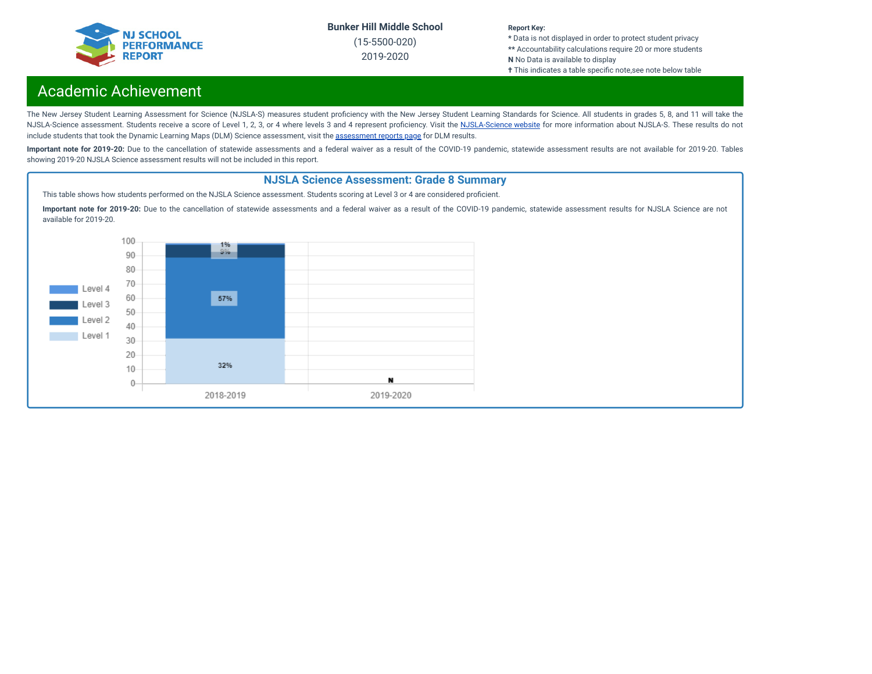

(15-5500-020) 2019-2020

#### **Report Key:**

**\*** Data is not displayed in order to protect student privacy **\*\*** Accountability calculations require 20 or more students **N** No Data is available to display

**†** This indicates a table specific note, see note below table

## Academic Achievement

The New Jersey Student Learning Assessment for Science (NJSLA-S) measures student proficiency with the New Jersey Student Learning Standards for Science. All students in grades 5, 8, and 11 will take the [NJSLA-Science](https://www.nj.gov/education/assessment/sla/science/) assessment. Students receive a score of Level 1, 2, 3, or 4 where levels 3 and 4 represent proficiency. Visit the NJSLA-Science website for more information about NJSLA-S. These results do not include students that took the Dynamic Learning Maps (DLM) Science [assessment](https://www.nj.gov/education/schools/achievement/), visit the assessment reports page for DLM results.

Important note for 2019-20: Due to the cancellation of statewide assessments and a federal waiver as a result of the COVID-19 pandemic, statewide assessment results are not available for 2019-20. Tables showing 2019-20 NJSLA Science assessment results will not be included in this report.

#### **NJSLA Science Assessment: Grade 8 Summary**

This table shows how students performed on the NJSLA Science assessment. Students scoring at Level 3 or 4 are considered proficient.

**Important note for 2019-20:** Due to the cancellation of statewide assessments and a federal waiver as a result of the COVID-19 pandemic, statewide assessment results for NJSLA Science are not available for 2019-20.

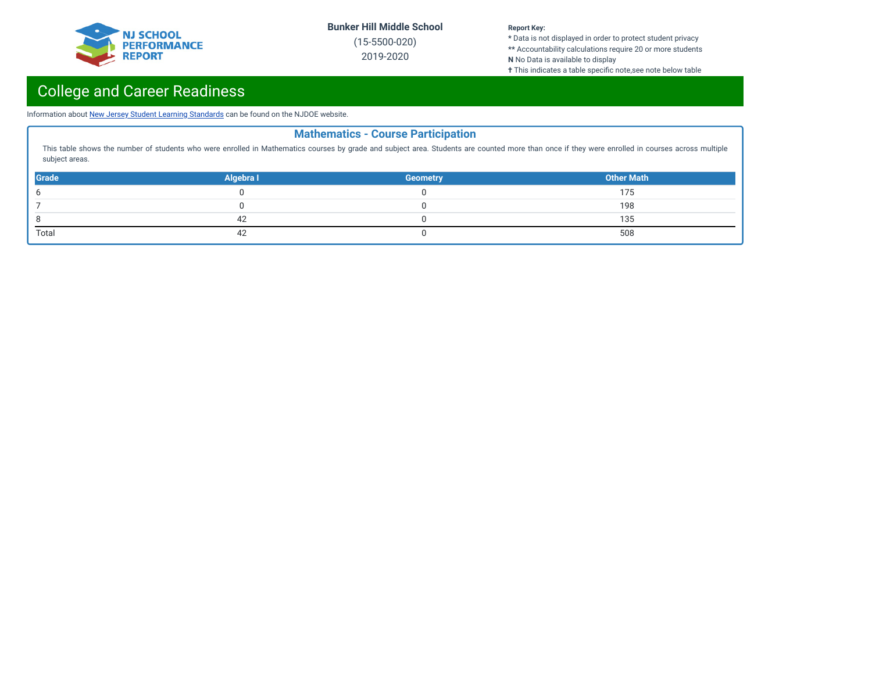

(15-5500-020) 2019-2020

#### **Report Key:**

**\*** Data is not displayed in order to protect student privacy **\*\*** Accountability calculations require 20 or more students **N** No Data is available to display

**†** This indicates a table specific note,see note below table

# College and Career Readiness

Information about New Jersey Student Learning [Standards](https://www.nj.gov/education/cccs/) can be found on the NJDOE website.

| <b>Mathematics - Course Participation</b>                                                                                                                                                                          |           |                 |                   |  |  |  |
|--------------------------------------------------------------------------------------------------------------------------------------------------------------------------------------------------------------------|-----------|-----------------|-------------------|--|--|--|
| This table shows the number of students who were enrolled in Mathematics courses by grade and subject area. Students are counted more than once if they were enrolled in courses across multiple<br>subject areas. |           |                 |                   |  |  |  |
| <b>Grade</b>                                                                                                                                                                                                       | Algebra I | <b>Geometry</b> | <b>Other Math</b> |  |  |  |
| 6                                                                                                                                                                                                                  |           |                 | 175               |  |  |  |
|                                                                                                                                                                                                                    |           |                 | 198               |  |  |  |
|                                                                                                                                                                                                                    | 42        |                 | 135               |  |  |  |
| Total                                                                                                                                                                                                              |           |                 | 508               |  |  |  |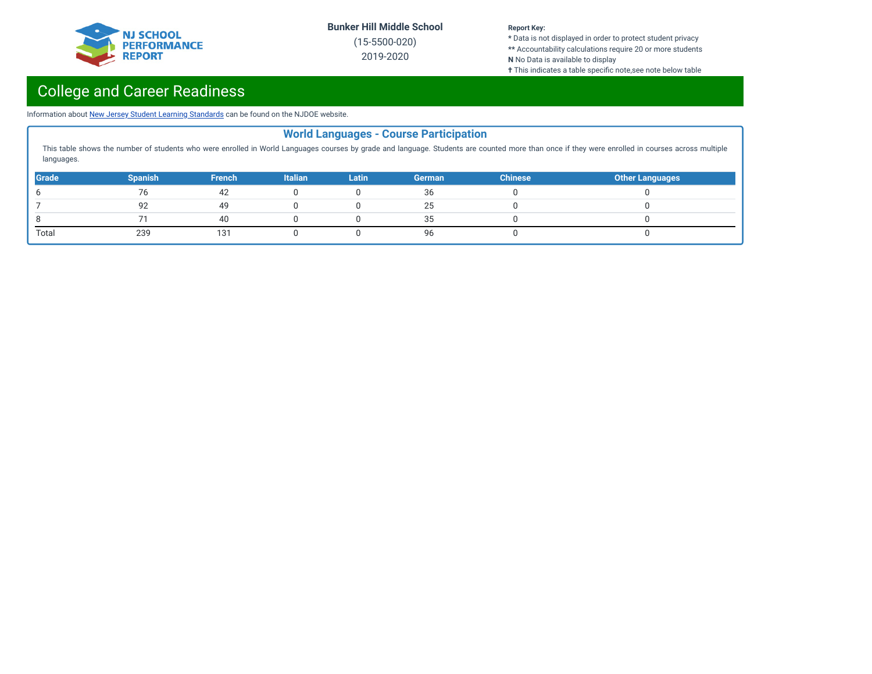

(15-5500-020) 2019-2020

#### **Report Key:**

**\*** Data is not displayed in order to protect student privacy **\*\*** Accountability calculations require 20 or more students **N** No Data is available to display

**†** This indicates a table specific note,see note below table

# College and Career Readiness

Information about New Jersey Student Learning [Standards](https://www.nj.gov/education/cccs/) can be found on the NJDOE website.

|                                                                                                                                                                                                                | <b>World Languages - Course Participation</b> |               |                |              |               |                |                        |  |
|----------------------------------------------------------------------------------------------------------------------------------------------------------------------------------------------------------------|-----------------------------------------------|---------------|----------------|--------------|---------------|----------------|------------------------|--|
| This table shows the number of students who were enrolled in World Languages courses by grade and language. Students are counted more than once if they were enrolled in courses across multiple<br>languages. |                                               |               |                |              |               |                |                        |  |
| Grade                                                                                                                                                                                                          | <b>Spanish</b>                                | <b>French</b> | <b>Italian</b> | <b>Latin</b> | <b>German</b> | <b>Chinese</b> | <b>Other Languages</b> |  |
|                                                                                                                                                                                                                | 76                                            | 42            |                |              | 36            |                |                        |  |
|                                                                                                                                                                                                                | 92                                            | 49            |                |              | 25            |                |                        |  |
|                                                                                                                                                                                                                |                                               | 40            |                |              | 35            |                |                        |  |
| Total                                                                                                                                                                                                          | 239                                           | 131           |                |              | 96            |                |                        |  |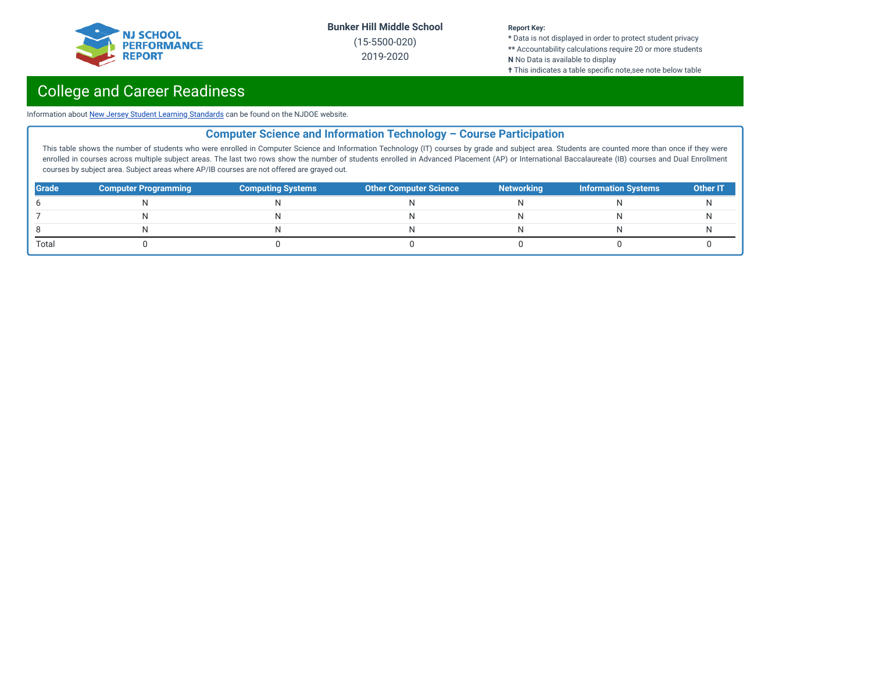

(15-5500-020) 2019-2020

#### **Report Key:**

**\*** Data is not displayed in order to protect student privacy **\*\*** Accountability calculations require 20 or more students **N** No Data is available to display

**†** This indicates a table specific note,see note below table

## College and Career Readiness

Information about New Jersey Student Learning [Standards](https://www.nj.gov/education/cccs/) can be found on the NJDOE website.

### **Computer Science and Information Technology – Course Participation**

This table shows the number of students who were enrolled in Computer Science and Information Technology (IT) courses by grade and subject area. Students are counted more than once if they were enrolled in courses across multiple subject areas. The last two rows show the number of students enrolled in Advanced Placement (AP) or International Baccalaureate (IB) courses and Dual Enrollment courses by subject area. Subject areas where AP/IB courses are not offered are grayed out.

| <b>Grade</b> | <b>Computer Programming</b> | <b>Computing Systems</b> | <b>Other Computer Science</b> | <b>Networking</b> | Information Systems | <b>Other IT</b> |
|--------------|-----------------------------|--------------------------|-------------------------------|-------------------|---------------------|-----------------|
|              |                             |                          |                               |                   |                     |                 |
|              |                             |                          |                               |                   |                     |                 |
|              |                             |                          |                               |                   |                     |                 |
| Total        |                             |                          |                               |                   |                     |                 |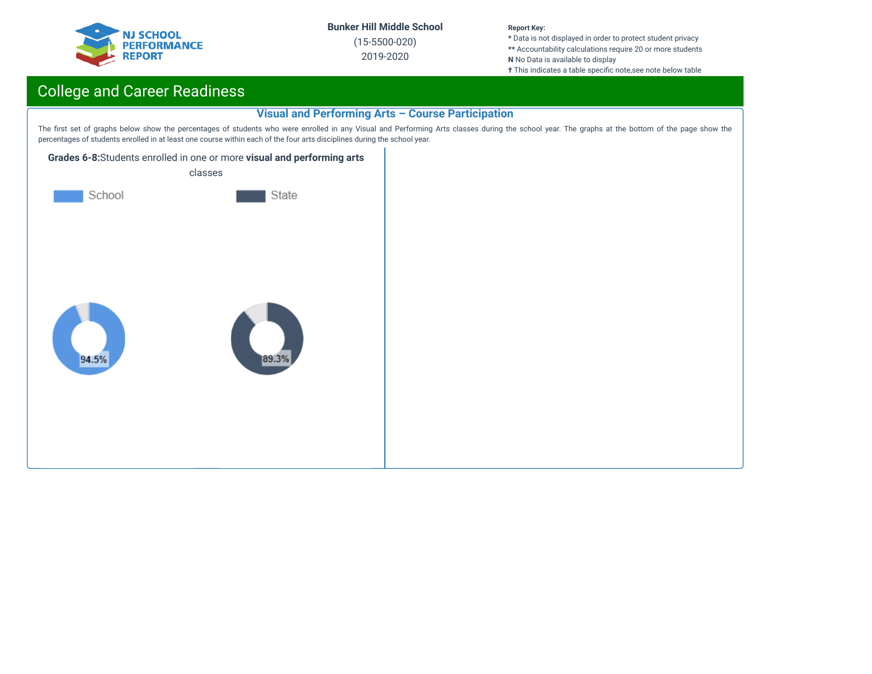

(15-5500-020) 2019-2020

#### **Report Key:**

**\*** Data is not displayed in order to protect student privacy **\*\*** Accountability calculations require 20 or more students **N** No Data is available to display

**†** This indicates a table specific note,see note below table

## College and Career Readiness

#### **Visual and Performing Arts – Course Participation**

The first set of graphs below show the percentages of students who were enrolled in any Visual and Performing Arts classes during the school year. The graphs at the bottom of the page show the percentages of students enrolled in at least one course within each of the four arts disciplines during the school year.



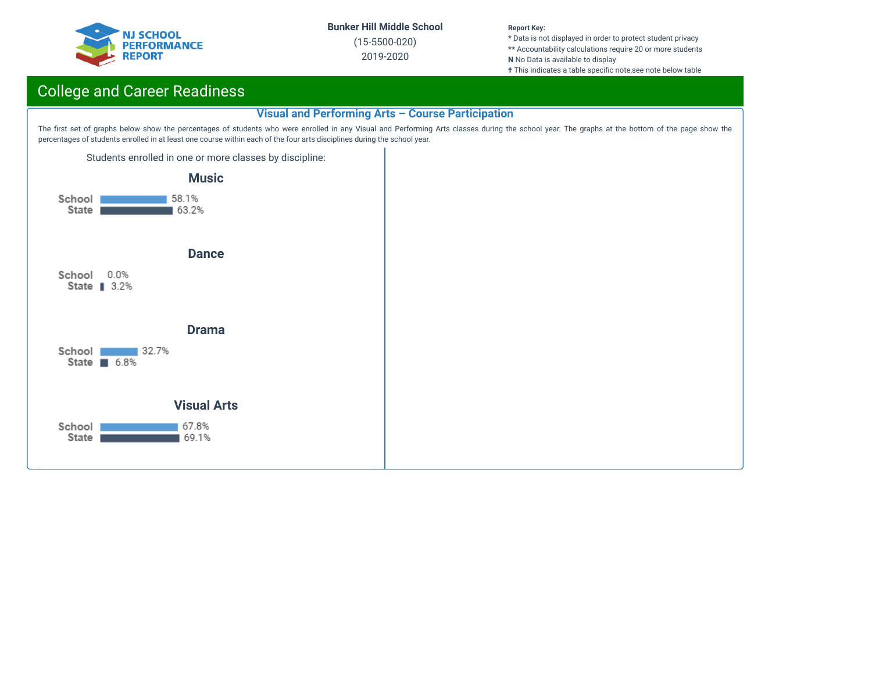

(15-5500-020) 2019-2020

#### **Report Key:**

**\*** Data is not displayed in order to protect student privacy **\*\*** Accountability calculations require 20 or more students **N** No Data is available to display

**†** This indicates a table specific note,see note below table

## College and Career Readiness

#### **Visual and Performing Arts – Course Participation**

The first set of graphs below show the percentages of students who were enrolled in any Visual and Performing Arts classes during the school year. The graphs at the bottom of the page show the percentages of students enrolled in at least one course within each of the four arts disciplines during the school year.

Students enrolled in one or more classes by discipline:

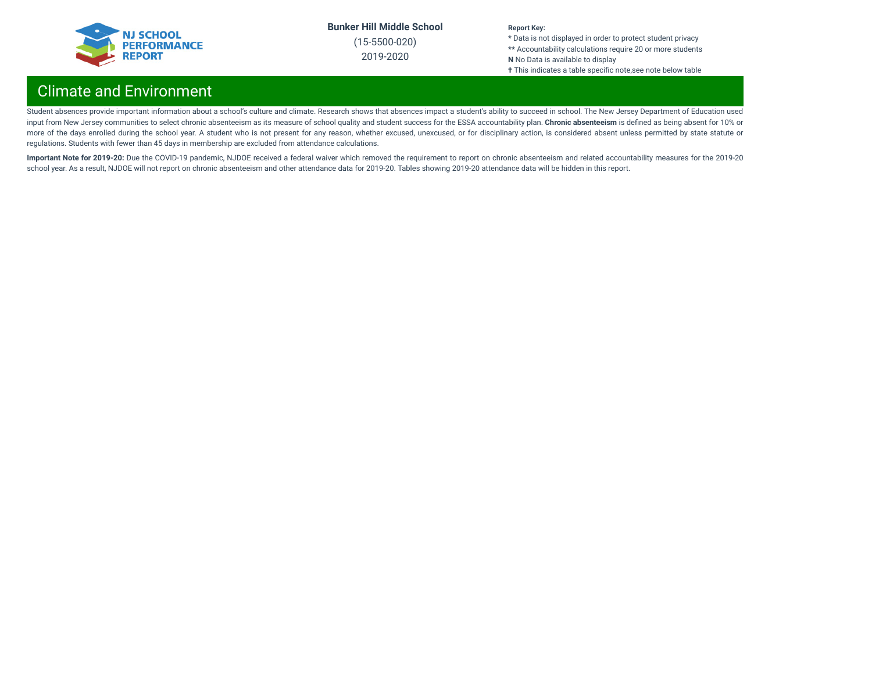

(15-5500-020) 2019-2020

#### **Report Key:**

**\*** Data is not displayed in order to protect student privacy **\*\*** Accountability calculations require 20 or more students **N** No Data is available to display **†** This indicates a table specific note,see note below table

## Climate and Environment

Student absences provide important information about a school's culture and climate. Research shows that absences impact a student's ability to succeed in school. The New Jersey Department of Education used input from New Jersey communities to select chronic absenteeism as its measure of school quality and student success for the ESSA accountability plan. **Chronic absenteeism** is dened as being absent for 10% or more of the days enrolled during the school year. A student who is not present for any reason, whether excused, unexcused, or for disciplinary action, is considered absent unless permitted by state statute or regulations. Students with fewer than 45 days in membership are excluded from attendance calculations.

Important Note for 2019-20: Due the COVID-19 pandemic, NJDOE received a federal waiver which removed the requirement to report on chronic absenteeism and related accountability measures for the 2019-20 school year. As a result, NJDOE will not report on chronic absenteeism and other attendance data for 2019-20. Tables showing 2019-20 attendance data will be hidden in this report.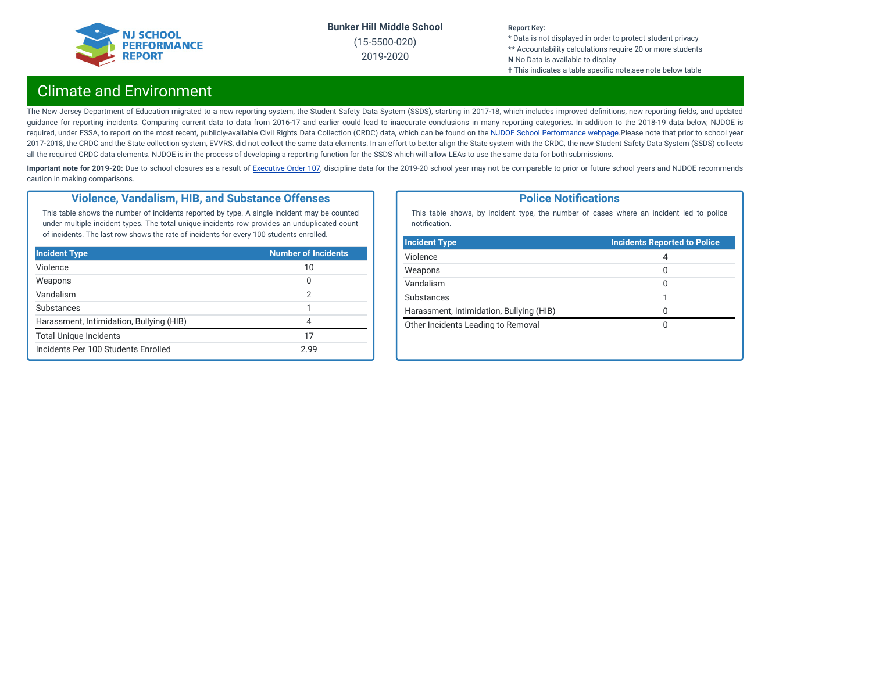

(15-5500-020) 2019-2020

#### **Report Key:**

**\*** Data is not displayed in order to protect student privacy **\*\*** Accountability calculations require 20 or more students **N** No Data is available to display **†** This indicates a table specific note, see note below table

## Climate and Environment

The New Jersey Department of Education migrated to a new reporting system, the Student Safety Data System (SSDS), starting in 2017-18, which includes improved definitions, new reporting fields, and updated guidance for reporting incidents. Comparing current data to data from 2016-17 and earlier could lead to inaccurate conclusions in many reporting categories. In addition to the 2018-19 data below, NJDOE is required, under ESSA, to report on the most recent, publicly-available Civil Rights Data Collection (CRDC) data, which can be found on the NJDOE School [Performance](https://www.nj.gov/education/schoolperformance/climate/) webpage.Please note that prior to school year 2017-2018, the CRDC and the State collection system, EVVRS, did not collect the same data elements. In an effort to better align the State system with the CRDC, the new Student Safety Data System (SSDS) collects all the required CRDC data elements. NJDOE is in the process of developing a reporting function for the SSDS which will allow LEAs to use the same data for both submissions.

Important note for 2019-20: Due to school closures as a result of [Executive](https://nj.gov/infobank/eo/056murphy/pdf/EO-107.pdf) Order 107, discipline data for the 2019-20 school year may not be comparable to prior or future school years and NJDOE recommends caution in making comparisons.

#### **Violence, Vandalism, HIB, and Substance Offenses**

This table shows the number of incidents reported by type. A single incident may be counted under multiple incident types. The total unique incidents row provides an unduplicated count of incidents. The last row shows the rate of incidents for every 100 students enrolled.

| <b>Incident Type</b>                     | <b>Number of Incidents</b> |
|------------------------------------------|----------------------------|
| Violence                                 | 10                         |
| Weapons                                  | 0                          |
| Vandalism                                | 2                          |
| Substances                               |                            |
| Harassment, Intimidation, Bullying (HIB) | 4                          |
| <b>Total Unique Incidents</b>            | 17                         |
| Incidents Per 100 Students Enrolled      | 2.99                       |

#### **Police Notifications**

This table shows, by incident type, the number of cases where an incident led to police notification.

| <b>Incident Type</b>                     | <b>Incidents Reported to Police</b> |
|------------------------------------------|-------------------------------------|
| Violence                                 | 4                                   |
| Weapons                                  | 0                                   |
| Vandalism                                | 0                                   |
| Substances                               |                                     |
| Harassment, Intimidation, Bullying (HIB) | O                                   |
| Other Incidents Leading to Removal       | O                                   |
|                                          |                                     |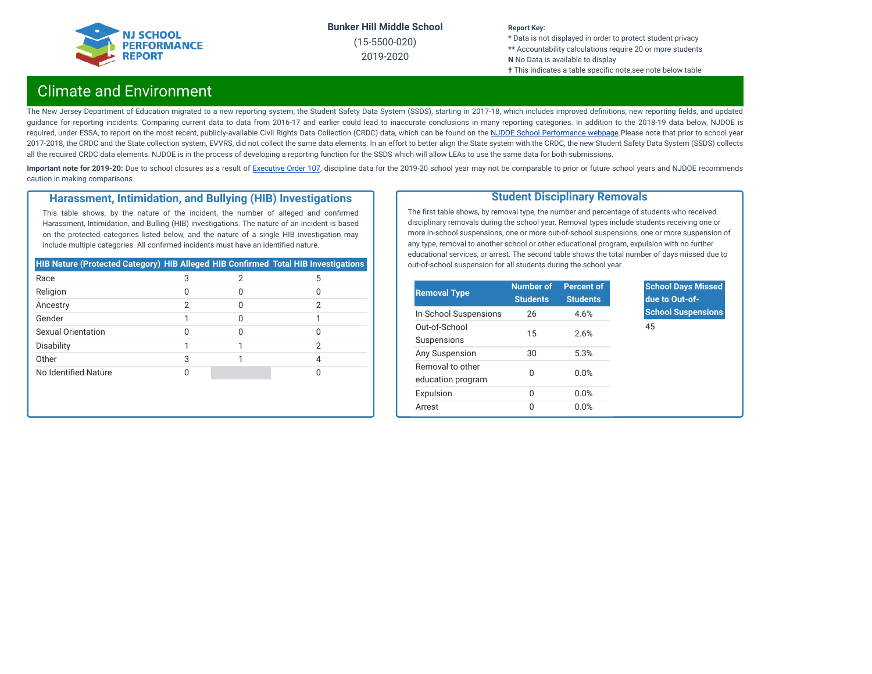

(15-5500-020) 2019-2020

#### **Report Key:**

**\*** Data is not displayed in order to protect student privacy **\*\*** Accountability calculations require 20 or more students **N** No Data is available to display **†** This indicates a table specific note,see note below table

## Climate and Environment

The New Jersey Department of Education migrated to a new reporting system, the Student Safety Data System (SSDS), starting in 2017-18, which includes improved definitions, new reporting fields, and updated guidance for reporting incidents. Comparing current data to data from 2016-17 and earlier could lead to inaccurate conclusions in many reporting categories. In addition to the 2018-19 data below, NJDOE is required, under ESSA, to report on the most recent, publicly-available Civil Rights Data Collection (CRDC) data, which can be found on the NJDOE School [Performance](https://www.nj.gov/education/schoolperformance/climate/) webpage.Please note that prior to school year 2017-2018, the CRDC and the State collection system, EVVRS, did not collect the same data elements. In an effort to better align the State system with the CRDC, the new Student Safety Data System (SSDS) collects all the required CRDC data elements. NJDOE is in the process of developing a reporting function for the SSDS which will allow LEAs to use the same data for both submissions.

Important note for 2019-20: Due to school closures as a result of [Executive](https://nj.gov/infobank/eo/056murphy/pdf/EO-107.pdf) Order 107, discipline data for the 2019-20 school year may not be comparable to prior or future school years and NJDOE recommends caution in making comparisons.

#### **Harassment, Intimidation, and Bullying (HIB) Investigations**

This table shows, by the nature of the incident, the number of alleged and confirmed Harassment, Intimidation, and Bulling (HIB) investigations. The nature of an incident is based on the protected categories listed below, and the nature of a single HIB investigation may include multiple categories. All confirmed incidents must have an identified nature.

| HIB Nature (Protected Category) HIB Alleged HIB Confirmed Total HIB Investigations |   |   |
|------------------------------------------------------------------------------------|---|---|
| Race                                                                               |   | 5 |
| Religion                                                                           |   |   |
| Ancestry                                                                           | 2 |   |
| Gender                                                                             |   |   |
| Sexual Orientation                                                                 |   |   |
| Disability                                                                         |   |   |
| Other                                                                              | 3 |   |
| No Identified Nature                                                               |   |   |

#### **Student Disciplinary Removals**

The first table shows, by removal type, the number and percentage of students who received disciplinary removals during the school year. Removal types include students receiving one or more in-school suspensions, one or more out-of-school suspensions, one or more suspension of any type, removal to another school or other educational program, expulsion with no further educational services, or arrest. The second table shows the total number of days missed due to out-of-school suspension for all students during the school year.

| <b>Removal Type</b>                   | <b>Number of</b><br><b>Students</b> | <b>Percent of</b><br><b>Students</b> |
|---------------------------------------|-------------------------------------|--------------------------------------|
| In-School Suspensions                 | 26                                  | 4.6%                                 |
| Out-of-School<br>Suspensions          | 15                                  | 2.6%                                 |
| Any Suspension                        | 30                                  | 5.3%                                 |
| Removal to other<br>education program | O                                   | 0.0%                                 |
| Expulsion                             | 0                                   | 0.0%                                 |
| Arrest                                | O                                   | 0.0%                                 |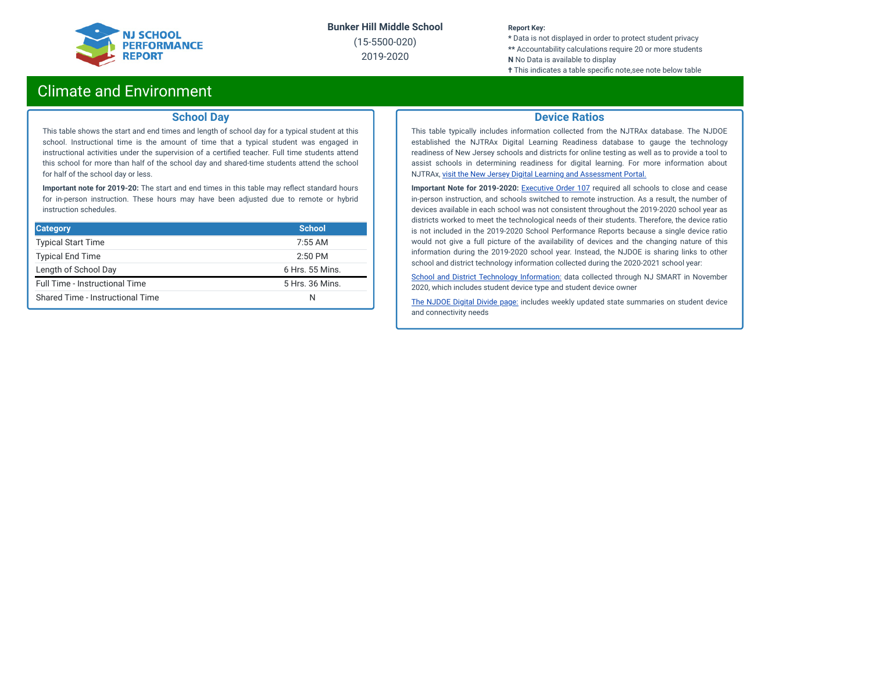

(15-5500-020) 2019-2020

#### **Report Key:**

**\*** Data is not displayed in order to protect student privacy **\*\*** Accountability calculations require 20 or more students **N** No Data is available to display

**†** This indicates a table specific note, see note below table

### Climate and Environment

#### **School Day**

This table shows the start and end times and length of school day for a typical student at this school. Instructional time is the amount of time that a typical student was engaged in instructional activities under the supervision of a certified teacher. Full time students attend this school for more than half of the school day and shared-time students attend the school for half of the school day or less.

**Important note for 2019-20:** The start and end times in this table may reflect standard hours for in-person instruction. These hours may have been adjusted due to remote or hybrid instruction schedules.

| <b>Category</b>                  | <b>School</b>   |
|----------------------------------|-----------------|
| <b>Typical Start Time</b>        | $7:55$ AM       |
| <b>Typical End Time</b>          | $2:50$ PM       |
| Length of School Day             | 6 Hrs. 55 Mins. |
| Full Time - Instructional Time   | 5 Hrs. 36 Mins. |
| Shared Time - Instructional Time | N               |

#### **Device Ratios**

This table typically includes information collected from the NJTRAx database. The NJDOE established the NJTRAx Digital Learning Readiness database to gauge the technology readiness of New Jersey schools and districts for online testing as well as to provide a tool to assist schools in determining readiness for digital learning. For more information about NJTRAx, visit the New Jersey Digital Learning and [Assessment](https://njdigitallearning.org/njtrax/) Portal.

**Important Note for 2019-2020:** [Executive](https://nj.gov/infobank/eo/056murphy/pdf/EO-107.pdf) Order 107 required all schools to close and cease in-person instruction, and schools switched to remote instruction. As a result, the number of devices available in each school was not consistent throughout the 2019-2020 school year as districts worked to meet the technological needs of their students. Therefore, the device ratio is not included in the 2019-2020 School Performance Reports because a single device ratio would not give a full picture of the availability of devices and the changing nature of this information during the 2019-2020 school year. Instead, the NJDOE is sharing links to other school and district technology information collected during the 2020-2021 school year:

School and District Technology [Information:](https://www.state.nj.us/education/schoolperformance/climate/docs/DistrictReportedStudentDeviceInformation.xlsx) data collected through NJ SMART in November 2020, which includes student device type and student device owner

The [NJDOE](https://www.nj.gov/education/grants/digitaldivide/techsurveys.shtml) Digital Divide page: includes weekly updated state summaries on student device and connectivity needs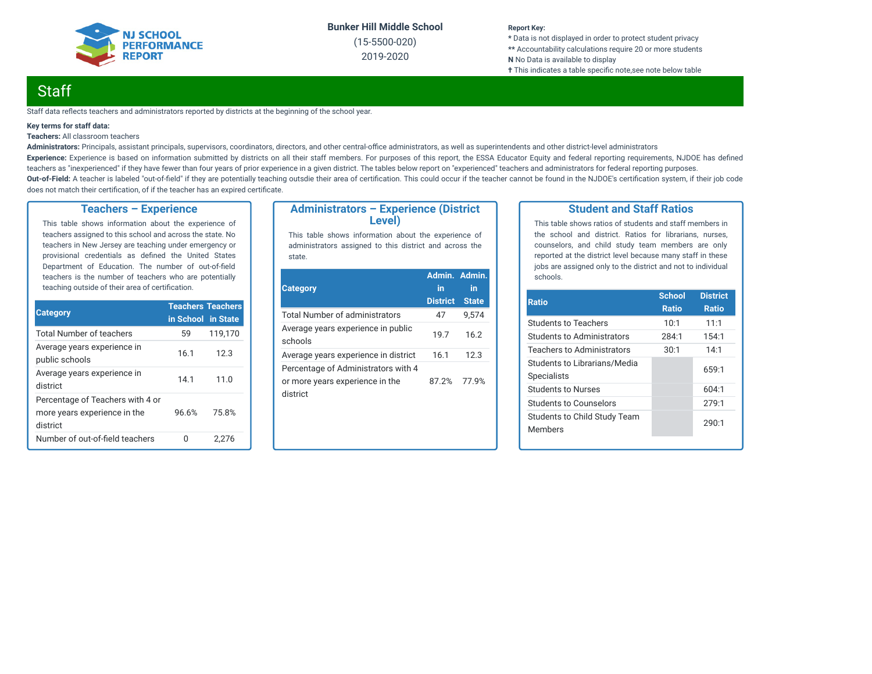

(15-5500-020) 2019-2020

#### **Report Key:**

**\*** Data is not displayed in order to protect student privacy **\*\*** Accountability calculations require 20 or more students **N** No Data is available to display **†** This indicates a table specific note, see note below table

## **Staff**

Staff data reflects teachers and administrators reported by districts at the beginning of the school year.

#### **Key terms for staff data:**

#### **Teachers:** All classroom teachers

Administrators: Principals, assistant principals, supervisors, coordinators, directors, and other central-office administrators, as well as superintendents and other district-level administrators Experience: Experience is based on information submitted by districts on all their staff members. For purposes of this report, the ESSA Educator Equity and federal reporting requirements, NJDOE has defined teachers as "inexperienced" if they have fewer than four years of prior experience in a given district. The tables below report on "experienced" teachers and administrators for federal reporting purposes. Out-of-Field: A teacher is labeled "out-of-field" if they are potentially teaching outsdie their area of certification. This could occur if the teacher cannot be found in the NJDOE's certification system, if their job code does not match their certification, of if the teacher has an expired certificate.

#### **Teachers – Experience**

This table shows information about the experience of teachers assigned to this school and across the state. No teachers in New Jersey are teaching under emergency or provisional credentials as defined the United States Department of Education. The number of out-of-field teachers is the number of teachers who are potentially teaching outside of their area of certification.

|                                                                              | <b>Teachers Teachers</b> |         |  |
|------------------------------------------------------------------------------|--------------------------|---------|--|
| <b>Category</b>                                                              | in School in State       |         |  |
| <b>Total Number of teachers</b>                                              | 59                       | 119,170 |  |
| Average years experience in<br>public schools                                | 16.1                     | 12.3    |  |
| Average years experience in<br>district                                      | 14.1                     | 11.0    |  |
| Percentage of Teachers with 4 or<br>more years experience in the<br>district | 96.6%                    | 75.8%   |  |
| Number of out-of-field teachers                                              |                          | 2.276   |  |

#### **Administrators – Experience (District Level)**

This table shows information about the experience of administrators assigned to this district and across the state.

| <b>Category</b>                                                                    | Admin. Admin.<br>in | in           |
|------------------------------------------------------------------------------------|---------------------|--------------|
|                                                                                    | <b>District</b>     | <b>State</b> |
| Total Number of administrators                                                     | 47                  | 9.574        |
| Average years experience in public<br>schools                                      | 19.7                | 16.2         |
| Average years experience in district                                               | 16.1                | 12.3         |
| Percentage of Administrators with 4<br>or more years experience in the<br>district | 87.2%               | 77.9%        |

#### **Student and Staff Ratios**

This table shows ratios of students and staff members in the school and district. Ratios for librarians, nurses, counselors, and child study team members are only reported at the district level because many staff in these jobs are assigned only to the district and not to individual schools.

| <b>Ratio</b>                                       | <b>School</b> | <b>District</b> |
|----------------------------------------------------|---------------|-----------------|
|                                                    | <b>Ratio</b>  | <b>Ratio</b>    |
| <b>Students to Teachers</b>                        | 10:1          | 11:1            |
| Students to Administrators                         | 284:1         | 154:1           |
| <b>Teachers to Administrators</b>                  | 30:1          | 14:1            |
| Students to Librarians/Media<br><b>Specialists</b> |               | 659:1           |
| Students to Nurses                                 |               | 604:1           |
| Students to Counselors                             |               | 279:1           |
| Students to Child Study Team<br><b>Members</b>     |               | 290:1           |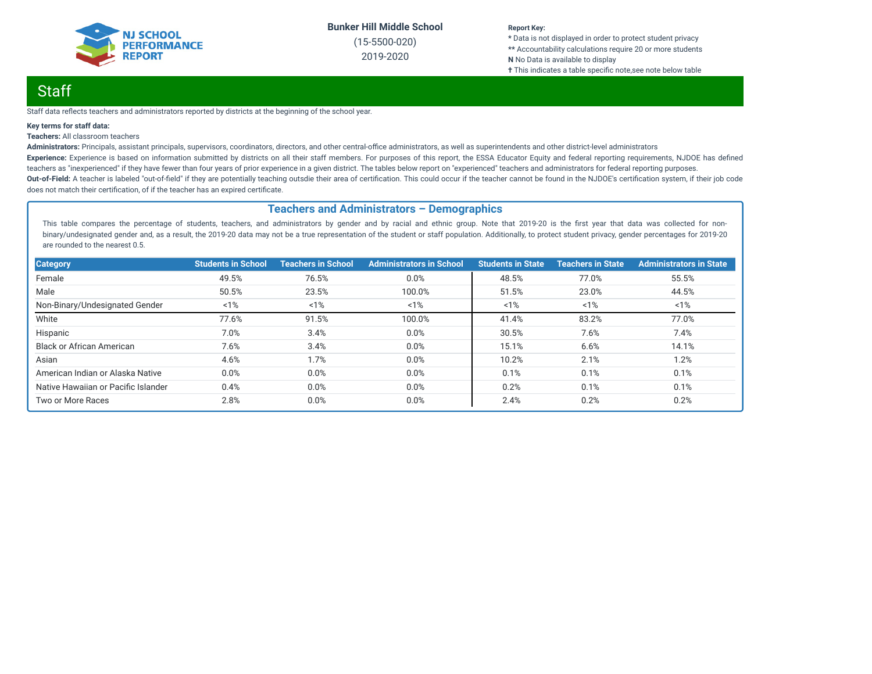

(15-5500-020) 2019-2020

#### **Report Key:**

**\*** Data is not displayed in order to protect student privacy **\*\*** Accountability calculations require 20 or more students **N** No Data is available to display **†** This indicates a table specific note,see note below table

## Staff

Staff data reflects teachers and administrators reported by districts at the beginning of the school year.

#### **Key terms for staff data:**

#### **Teachers:** All classroom teachers

Administrators: Principals, assistant principals, supervisors, coordinators, directors, and other central-office administrators, as well as superintendents and other district-level administrators Experience: Experience is based on information submitted by districts on all their staff members. For purposes of this report, the ESSA Educator Equity and federal reporting requirements, NJDOE has defined teachers as "inexperienced" if they have fewer than four years of prior experience in a given district. The tables below report on "experienced" teachers and administrators for federal reporting purposes. Out-of-Field: A teacher is labeled "out-of-field" if they are potentially teaching outsdie their area of certification. This could occur if the teacher cannot be found in the NJDOE's certification system, if their job code does not match their certification, of if the teacher has an expired certificate.

#### **Teachers and Administrators – Demographics**

This table compares the percentage of students, teachers, and administrators by gender and by racial and ethnic group. Note that 2019-20 is the first year that data was collected for nonbinary/undesignated gender and, as a result, the 2019-20 data may not be a true representation of the student or staff population. Additionally, to protect student privacy, gender percentages for 2019-20 are rounded to the nearest 0.5.

| <b>Category</b>                     | <b>Students in School</b> | <b>Teachers in School</b> | <b>Administrators in School</b> | <b>Students in State</b> | <b>Teachers in State</b> | <b>Administrators in State</b> |
|-------------------------------------|---------------------------|---------------------------|---------------------------------|--------------------------|--------------------------|--------------------------------|
| Female                              | 49.5%                     | 76.5%                     | 0.0%                            | 48.5%                    | 77.0%                    | 55.5%                          |
| Male                                | 50.5%                     | 23.5%                     | 100.0%                          | 51.5%                    | 23.0%                    | 44.5%                          |
| Non-Binary/Undesignated Gender      | 1%                        | 1%                        | 1%                              | 1%                       | 1%                       | $1\%$                          |
| White                               | 77.6%                     | 91.5%                     | 100.0%                          | 41.4%                    | 83.2%                    | 77.0%                          |
| Hispanic                            | 7.0%                      | 3.4%                      | 0.0%                            | 30.5%                    | 7.6%                     | 7.4%                           |
| <b>Black or African American</b>    | 7.6%                      | 3.4%                      | 0.0%                            | 15.1%                    | 6.6%                     | 14.1%                          |
| Asian                               | 4.6%                      | 1.7%                      | 0.0%                            | 10.2%                    | 2.1%                     | 1.2%                           |
| American Indian or Alaska Native    | 0.0%                      | 0.0%                      | 0.0%                            | 0.1%                     | 0.1%                     | 0.1%                           |
| Native Hawaiian or Pacific Islander | 0.4%                      | 0.0%                      | 0.0%                            | 0.2%                     | 0.1%                     | 0.1%                           |
| Two or More Races                   | 2.8%                      | 0.0%                      | 0.0%                            | 2.4%                     | 0.2%                     | 0.2%                           |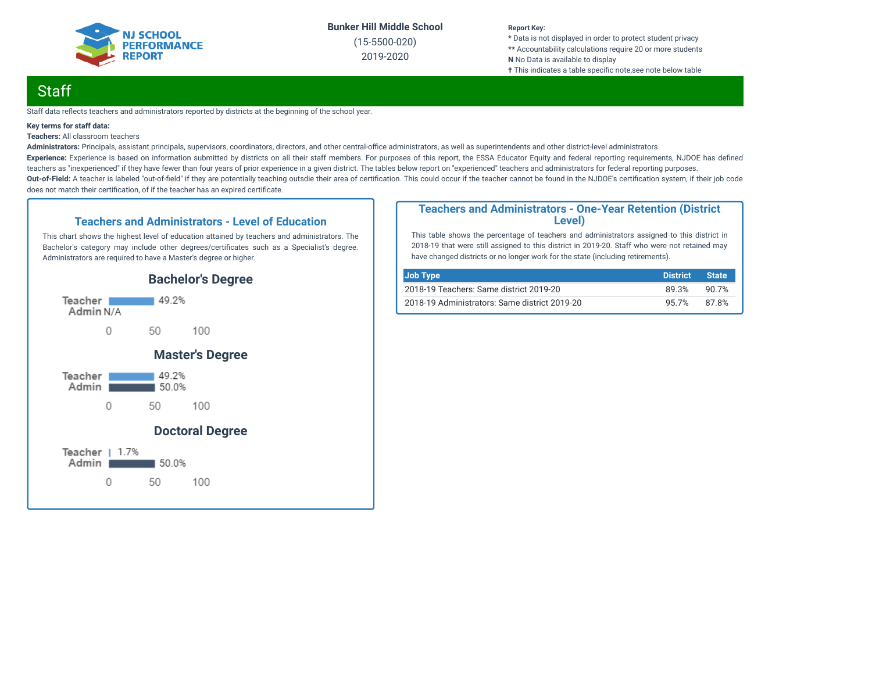

(15-5500-020) 2019-2020

#### **Report Key:**

**\*** Data is not displayed in order to protect student privacy **\*\*** Accountability calculations require 20 or more students **N** No Data is available to display **†** This indicates a table specific note, see note below table

## **Staff**

Staff data reflects teachers and administrators reported by districts at the beginning of the school year.

#### **Key terms for staff data:**

**Teachers:** All classroom teachers

Administrators: Principals, assistant principals, supervisors, coordinators, directors, and other central-office administrators, as well as superintendents and other district-level administrators Experience: Experience is based on information submitted by districts on all their staff members. For purposes of this report, the ESSA Educator Equity and federal reporting requirements, NJDOE has defined teachers as "inexperienced" if they have fewer than four years of prior experience in a given district. The tables below report on "experienced" teachers and administrators for federal reporting purposes. Out-of-Field: A teacher is labeled "out-of-field" if they are potentially teaching outsdie their area of certification. This could occur if the teacher cannot be found in the NJDOE's certification system, if their job code does not match their certification, of if the teacher has an expired certificate.

#### **Teachers and Administrators - Level of Education**

This chart shows the highest level of education attained by teachers and administrators. The Bachelor's category may include other degrees/certificates such as a Specialist's degree. Administrators are required to have a Master's degree or higher.



#### **Teachers and Administrators - One-Year Retention (District Level)**

This table shows the percentage of teachers and administrators assigned to this district in 2018-19 that were still assigned to this district in 2019-20. Staff who were not retained may have changed districts or no longer work for the state (including retirements).

| Job Type                                      | <b>District</b> | <b>State</b> |
|-----------------------------------------------|-----------------|--------------|
| 2018-19 Teachers: Same district 2019-20       | 89.3%           | 90.7%        |
| 2018-19 Administrators: Same district 2019-20 | 95.7%           | 87.8%        |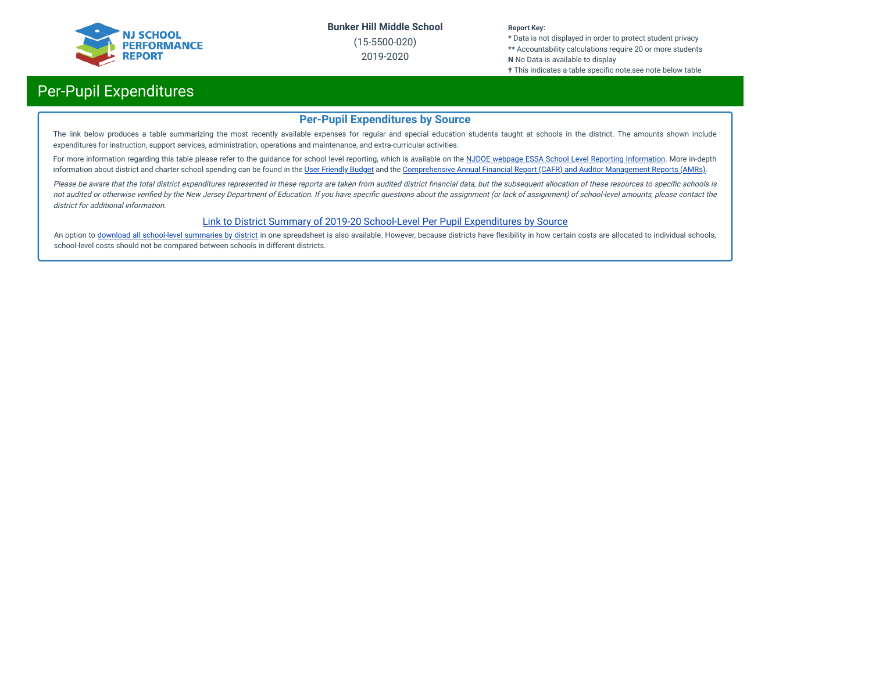

(15-5500-020) 2019-2020

#### **Report Key:**

**\*** Data is not displayed in order to protect student privacy **\*\*** Accountability calculations require 20 or more students **N** No Data is available to display

**†** This indicates a table specific note,see note below table

## Per-Pupil Expenditures

#### **Per-Pupil Expenditures by Source**

The link below produces a table summarizing the most recently available expenses for regular and special education students taught at schools in the district. The amounts shown include expenditures for instruction, support services, administration, operations and maintenance, and extra-curricular activities.

For more information regarding this table please refer to the guidance for school level reporting, which is available on the NJDOE webpage ESSA School Level Reporting [Information](https://www.nj.gov/education/finance/fp/af/essa.shtml). More in-depth information about district and charter school spending can be found in the User [Friendly](https://www.nj.gov/education/finance/fp/ufb/) Budget and the [Comprehensive](https://www.nj.gov/education/finance/fp/cafr/search/) Annual Financial Report (CAFR) and Auditor Management Reports (AMRs).

Please be aware that the total district expenditures represented in these reports are taken from audited district financial data, but the subsequent allocation of these resources to specific schools is not audited or otherwise verified by the New Jersey Department of Education. If you have specific questions about the assignment (or lack of assignment) of school-level amounts, please contact the district for additional information.

#### [Link to District Summary of 2019-20 School-Level Per Pupil Expenditures by Source](https://homeroom4.doe.state.nj.us/audsum/PpeReport?&did=5500&fileformat=html&reportname=PERFORMREPORT&fy=20)

An option to download all [school-level](https://homeroom4.doe.state.nj.us/audsum/PpeReport?&did=9999&fileformat=html&reportname=PERFORMREPORT&fy=20) summaries by district in one spreadsheet is also available. However, because districts have flexibility in how certain costs are allocated to individual schools, school-level costs should not be compared between schools in different districts.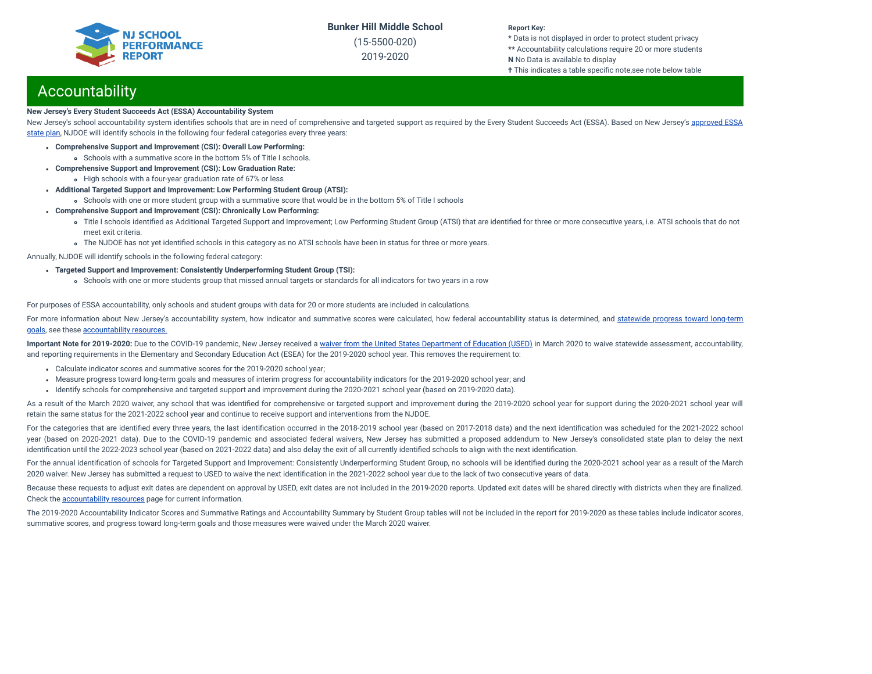(15-5500-020) 2019-2020

#### **Report Key:**

**\*** Data is not displayed in order to protect student privacy **\*\*** Accountability calculations require 20 or more students **N** No Data is available to display

**†** This indicates a table specific note,see note below table

## Accountability

#### **New Jersey's Every Student Succeeds Act (ESSA) Accountability System**

New Jersey's school accountability system identifies schools that are in need of [comprehensive](https://www.nj.gov/education/ESSA/plan/plan.pdf) and targeted support as required by the Every Student Succeeds Act (ESSA). Based on New Jersey's approved ESSA state plan, NJDOE will identify schools in the following four federal categories every three years:

- **Comprehensive Support and Improvement (CSI): Overall Low Performing:**
	- Schools with a summative score in the bottom 5% of Title I schools.
- **Comprehensive Support and Improvement (CSI): Low Graduation Rate:**
- High schools with a four-year graduation rate of 67% or less
- **Additional Targeted Support and Improvement: Low Performing Student Group (ATSI):**
	- Schools with one or more student group with a summative score that would be in the bottom 5% of Title I schools
- **Comprehensive Support and Improvement (CSI): Chronically Low Performing:**
	- o Title I schools identified as Additional Targeted Support and Improvement; Low Performing Student Group (ATSI) that are identified for three or more consecutive years, i.e. ATSI schools that do not meet exit criteria.
	- The NJDOE has not yet identified schools in this category as no ATSI schools have been in status for three or more years.

Annually, NJDOE will identify schools in the following federal category:

- **Targeted Support and Improvement: Consistently Underperforming Student Group (TSI):**
	- Schools with one or more students group that missed annual targets or standards for all indicators for two years in a row

For purposes of ESSA accountability, only schools and student groups with data for 20 or more students are included in calculations.

For more information about New Jersey's [accountability](https://www.state.nj.us/education/title1/accountability/progress/19/2018-19%20Statewide%20Progress%20toward%20Long-Term%20Goals.pdf) system, how indicator and summative scores were calculated, how federal accountability status is determined, and statewide progress toward long-term goals, see these [accountability](https://www.state.nj.us/education/title1/accountability/progress/20) resources.

Important Note for 2019-2020: Due to the COVID-19 pandemic, New Jersey received a waiver from the United States [Department](https://www.nj.gov/education/covid19/news/docs/Accountability%20and%20School%20Identification,%20and%20Reporting%20Requirement%20Waiver%20Word.pdf) of Education (USED) in March 2020 to waive statewide assessment, accountability, and reporting requirements in the Elementary and Secondary Education Act (ESEA) for the 2019-2020 school year. This removes the requirement to:

- Calculate indicator scores and summative scores for the 2019-2020 school year;
- Measure progress toward long-term goals and measures of interim progress for accountability indicators for the 2019-2020 school year; and
- Identify schools for comprehensive and targeted support and improvement during the 2020-2021 school year (based on 2019-2020 data).

As a result of the March 2020 waiver, any school that was identified for comprehensive or targeted support and improvement during the 2019-2020 school year for support during the 2020-2021 school year will retain the same status for the 2021-2022 school year and continue to receive support and interventions from the NJDOE.

For the categories that are identified every three years, the last identification occurred in the 2018-2019 school year (based on 2017-2018 data) and the next identification was scheduled for the 2021-2022 school year (based on 2020-2021 data). Due to the COVID-19 pandemic and associated federal waivers, New Jersey has submitted a proposed addendum to New Jersey's consolidated state plan to delay the next identification until the 2022-2023 school year (based on 2021-2022 data) and also delay the exit of all currently identified schools to align with the next identification.

For the annual identification of schools for Targeted Support and Improvement: Consistently Underperforming Student Group, no schools will be identified during the 2020-2021 school year as a result of the March 2020 waiver. New Jersey has submitted a request to USED to waive the next identification in the 2021-2022 school year due to the lack of two consecutive years of data.

Because these requests to adjust exit dates are dependent on approval by USED, exit dates are not included in the 2019-2020 reports. Updated exit dates will be shared directly with districts when they are finalized. Check the [accountability](https://www.state.nj.us/education/title1/accountability/progress/20) resources page for current information.

The 2019-2020 Accountability Indicator Scores and Summative Ratings and Accountability Summary by Student Group tables will not be included in the report for 2019-2020 as these tables include indicator scores, summative scores, and progress toward long-term goals and those measures were waived under the March 2020 waiver.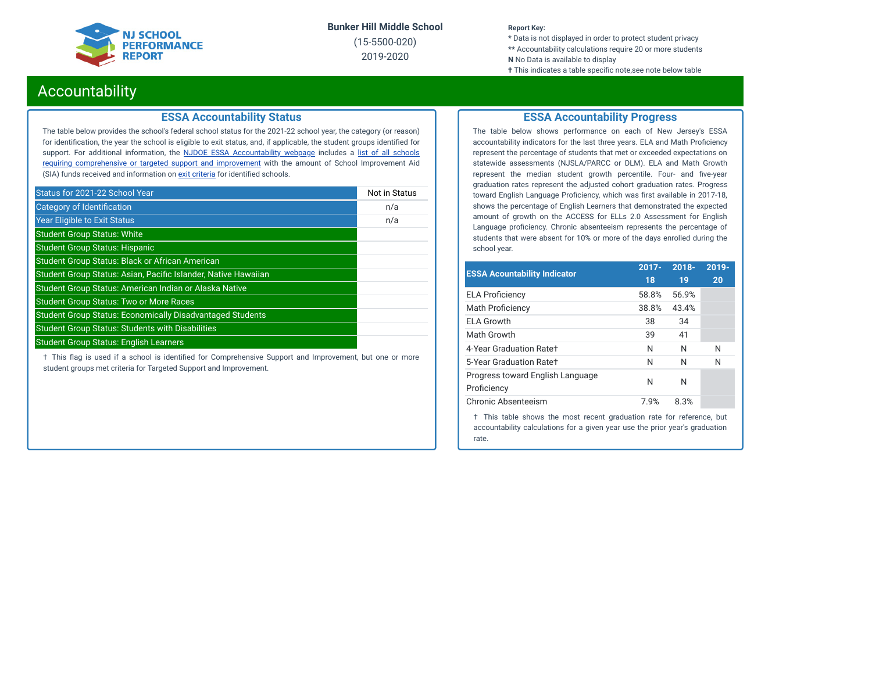

(15-5500-020) 2019-2020

#### **Report Key:**

**\*** Data is not displayed in order to protect student privacy **\*\*** Accountability calculations require 20 or more students **N** No Data is available to display

**†** This indicates a table specific note,see note below table

### Accountability

#### **ESSA Accountability Status**

The table below provides the school's federal school status for the 2021-22 school year, the category (or reason) for identification, the year the school is eligible to exit status, and, if applicable, the student groups identified for support. For additional information, the **NJDOE ESSA [Accountability](https://www.state.nj.us/education/title1/accountability/progress/20/) webpage** includes a list of all schools requiring [comprehensive](https://www.state.nj.us/education/title1/accountability/progress/19/CAP%20Comprehensive_Targeted_Schools.xlsx) or targeted support and improvement with the amount of School Improvement Aid (SIA) funds received and information on exit [criteria](https://www.state.nj.us/education/title1/accountability/progress/20/ESSAExitCriteriaDocument.pdf) for identified schools.

| Status for 2021-22 School Year                                   | Not in Status |
|------------------------------------------------------------------|---------------|
| Category of Identification                                       | n/a           |
| <b>Year Eligible to Exit Status</b>                              | n/a           |
| <b>Student Group Status: White</b>                               |               |
| <b>Student Group Status: Hispanic</b>                            |               |
| <b>Student Group Status: Black or African American</b>           |               |
| Student Group Status: Asian, Pacific Islander, Native Hawaiian   |               |
| Student Group Status: American Indian or Alaska Native           |               |
| <b>Student Group Status: Two or More Races</b>                   |               |
| <b>Student Group Status: Economically Disadvantaged Students</b> |               |
| <b>Student Group Status: Students with Disabilities</b>          |               |
| <b>Student Group Status: English Learners</b>                    |               |

 $\dagger$  This flag is used if a school is identified for Comprehensive Support and Improvement, but one or more student groups met criteria for Targeted Support and Improvement.

#### **ESSA Accountability Progress**

The table below shows performance on each of New Jersey's ESSA accountability indicators for the last three years. ELA and Math Proficiency represent the percentage of students that met or exceeded expectations on statewide assessments (NJSLA/PARCC or DLM). ELA and Math Growth represent the median student growth percentile. Four- and five-year graduation rates represent the adjusted cohort graduation rates. Progress toward English Language Proficiency, which was first available in 2017-18, shows the percentage of English Learners that demonstrated the expected amount of growth on the ACCESS for ELLs 2.0 Assessment for English Language proficiency. Chronic absenteeism represents the percentage of students that were absent for 10% or more of the days enrolled during the school year.

| <b>ESSA Acountability Indicator</b>                                    | $2017 -$ | $2018 -$ | 2019- |
|------------------------------------------------------------------------|----------|----------|-------|
|                                                                        | 18       | 19       | 20    |
| <b>ELA Proficiency</b>                                                 | 58.8%    | 56.9%    |       |
| <b>Math Proficiency</b>                                                | 38.8%    | 43.4%    |       |
| <b>ELA Growth</b>                                                      | 38       | 34       |       |
| Math Growth                                                            | 39       | 41       |       |
| 4-Year Graduation Rate+                                                | N        | N        | N     |
| 5-Year Graduation Rate+                                                | N        | N        | N     |
| Progress toward English Language                                       | N        | N        |       |
| Proficiency                                                            |          |          |       |
| Chronic Absenteeism                                                    | 7.9%     | 8.3%     |       |
| 4. This debts about dhe wood social wastradies were formed and more to |          |          |       |

† This table shows the most recent graduation rate for reference, but accountability calculations for a given year use the prior year's graduation rate.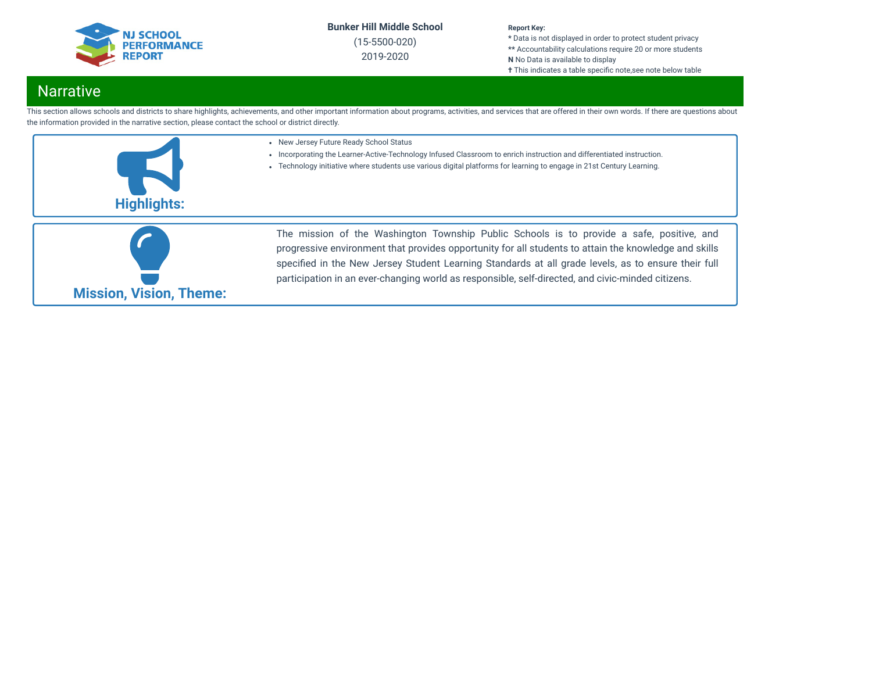

(15-5500-020) 2019-2020

#### **Report Key:**

**\*** Data is not displayed in order to protect student privacy **\*\*** Accountability calculations require 20 or more students **N** No Data is available to display **†** This indicates a table specific note, see note below table

## **Narrative**

This section allows schools and districts to share highlights, achievements, and other important information about programs, activities, and services that are offered in their own words. If there are questions about the information provided in the narrative section, please contact the school or district directly.



• New Jersey Future Ready School Status

- Incorporating the Learner-Active-Technology Infused Classroom to enrich instruction and differentiated instruction.
- Technology initiative where students use various digital platforms for learning to engage in 21st Century Learning.



The mission of the Washington Township Public Schools is to provide a safe, positive, and progressive environment that provides opportunity for all students to attain the knowledge and skills specified in the New Jersey Student Learning Standards at all grade levels, as to ensure their full participation in an ever-changing world as responsible, self-directed, and civic-minded citizens.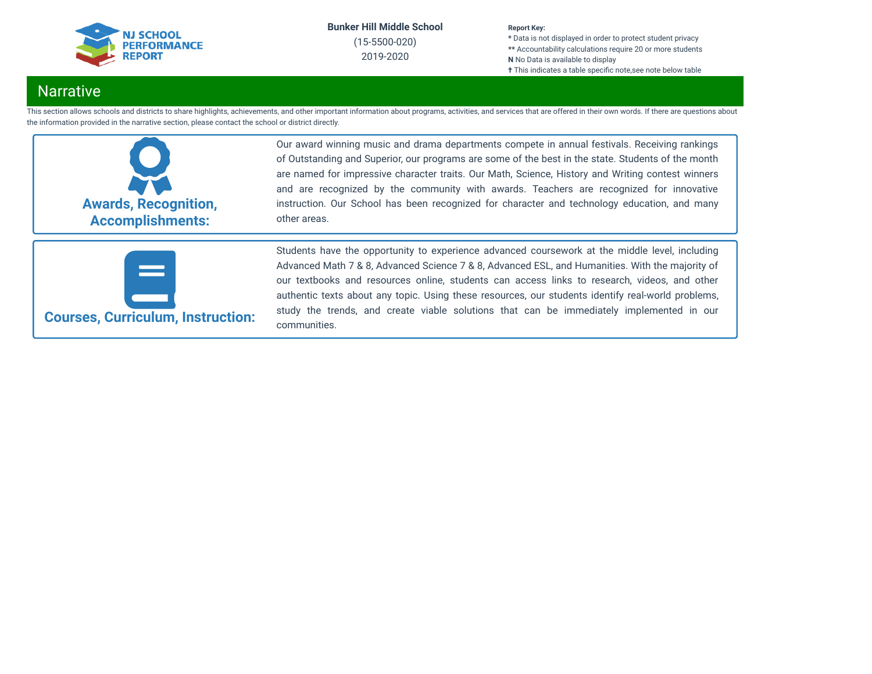

(15-5500-020) 2019-2020

#### **Report Key:**

**\*** Data is not displayed in order to protect student privacy **\*\*** Accountability calculations require 20 or more students **N** No Data is available to display **†** This indicates a table specific note, see note below table

## **Narrative**

This section allows schools and districts to share highlights, achievements, and other important information about programs, activities, and services that are offered in their own words. If there are questions about the information provided in the narrative section, please contact the school or district directly.



Our award winning music and drama departments compete in annual festivals. Receiving rankings of Outstanding and Superior, our programs are some of the best in the state. Students of the month are named for impressive character traits. Our Math, Science, History and Writing contest winners and are recognized by the community with awards. Teachers are recognized for innovative instruction. Our School has been recognized for character and technology education, and many other areas.



**Courses, Curriculum, Instruction:**

Students have the opportunity to experience advanced coursework at the middle level, including Advanced Math 7 & 8, Advanced Science 7 & 8, Advanced ESL, and Humanities. With the majority of our textbooks and resources online, students can access links to research, videos, and other authentic texts about any topic. Using these resources, our students identify real-world problems, study the trends, and create viable solutions that can be immediately implemented in our communities.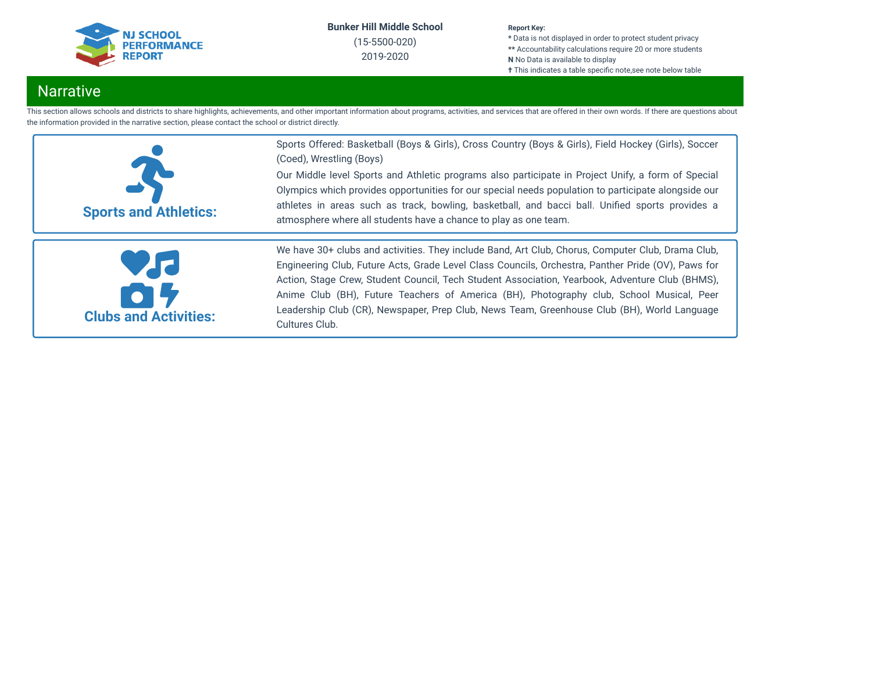

(15-5500-020) 2019-2020

#### **Report Key:**

**\*** Data is not displayed in order to protect student privacy **\*\*** Accountability calculations require 20 or more students **N** No Data is available to display **†** This indicates a table specific note,see note below table

## Narrative

This section allows schools and districts to share highlights, achievements, and other important information about programs, activities, and services that are offered in their own words. If there are questions about the information provided in the narrative section, please contact the school or district directly.

|                                    | Sports Offered: Basketball (Boys & Girls), Cross Country (Boys & Girls), Field Hockey (Girls), Soccer<br>(Coed), Wrestling (Boys)<br>Our Middle level Sports and Athletic programs also participate in Project Unify, a form of Special<br>Olympics which provides opportunities for our special needs population to participate alongside our                                                                                                                                                                          |
|------------------------------------|-------------------------------------------------------------------------------------------------------------------------------------------------------------------------------------------------------------------------------------------------------------------------------------------------------------------------------------------------------------------------------------------------------------------------------------------------------------------------------------------------------------------------|
| <b>Sports and Athletics:</b>       | athletes in areas such as track, bowling, basketball, and bacci ball. Unified sports provides a<br>atmosphere where all students have a chance to play as one team.                                                                                                                                                                                                                                                                                                                                                     |
| Vd<br><b>Clubs and Activities:</b> | We have 30+ clubs and activities. They include Band, Art Club, Chorus, Computer Club, Drama Club,<br>Engineering Club, Future Acts, Grade Level Class Councils, Orchestra, Panther Pride (OV), Paws for<br>Action, Stage Crew, Student Council, Tech Student Association, Yearbook, Adventure Club (BHMS),<br>Anime Club (BH), Future Teachers of America (BH), Photography club, School Musical, Peer<br>Leadership Club (CR), Newspaper, Prep Club, News Team, Greenhouse Club (BH), World Language<br>Cultures Club. |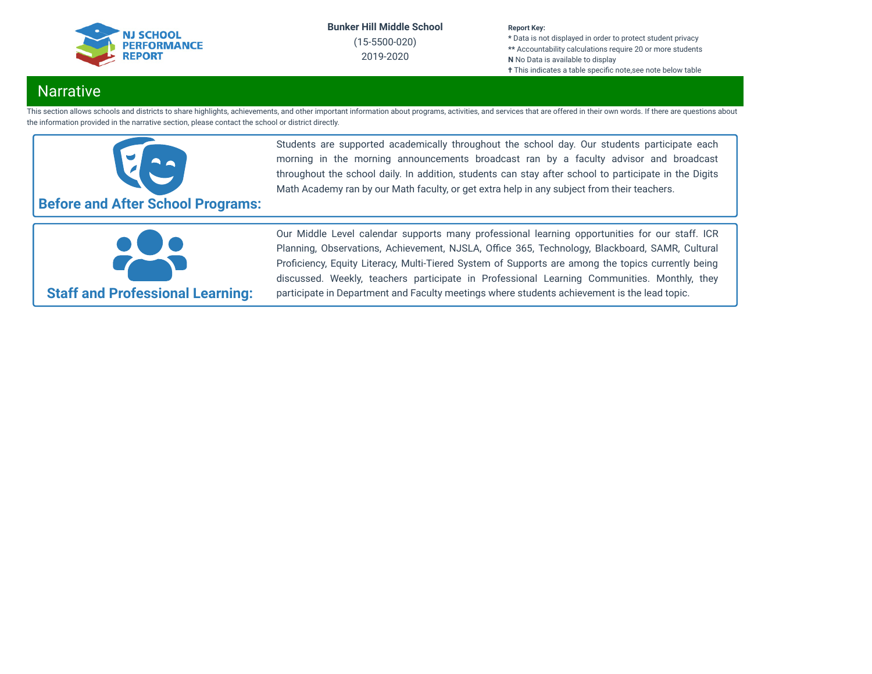

(15-5500-020) 2019-2020

#### **Report Key:**

**\*** Data is not displayed in order to protect student privacy **\*\*** Accountability calculations require 20 or more students **N** No Data is available to display **†** This indicates a table specific note, see note below table

## **Narrative**

This section allows schools and districts to share highlights, achievements, and other important information about programs, activities, and services that are offered in their own words. If there are questions about the information provided in the narrative section, please contact the school or district directly.



Students are supported academically throughout the school day. Our students participate each morning in the morning announcements broadcast ran by a faculty advisor and broadcast throughout the school daily. In addition, students can stay after school to participate in the Digits Math Academy ran by our Math faculty, or get extra help in any subject from their teachers.



Our Middle Level calendar supports many professional learning opportunities for our staff. ICR Planning, Observations, Achievement, NJSLA, Office 365, Technology, Blackboard, SAMR, Cultural Proficiency, Equity Literacy, Multi-Tiered System of Supports are among the topics currently being discussed. Weekly, teachers participate in Professional Learning Communities. Monthly, they participate in Department and Faculty meetings where students achievement is the lead topic.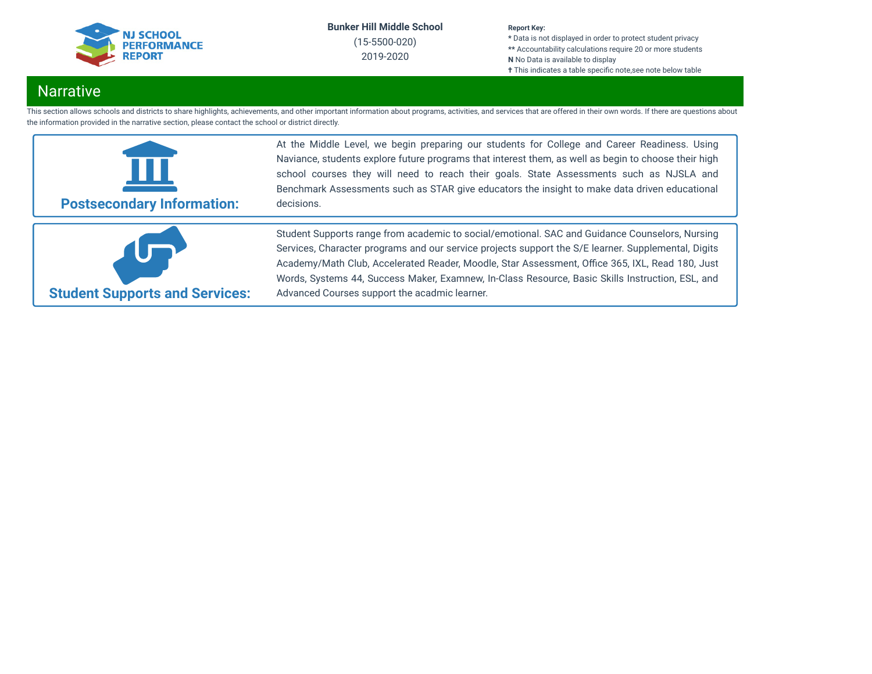

(15-5500-020) 2019-2020

#### **Report Key:**

**\*** Data is not displayed in order to protect student privacy **\*\*** Accountability calculations require 20 or more students **N** No Data is available to display **†** This indicates a table specific note, see note below table

## Narrative

This section allows schools and districts to share highlights, achievements, and other important information about programs, activities, and services that are offered in their own words. If there are questions about the information provided in the narrative section, please contact the school or district directly.



At the Middle Level, we begin preparing our students for College and Career Readiness. Using Naviance, students explore future programs that interest them, as well as begin to choose their high school courses they will need to reach their goals. State Assessments such as NJSLA and Benchmark Assessments such as STAR give educators the insight to make data driven educational decisions.



Student Supports range from academic to social/emotional. SAC and Guidance Counselors, Nursing Services, Character programs and our service projects support the S/E learner. Supplemental, Digits Academy/Math Club, Accelerated Reader, Moodle, Star Assessment, Office 365, IXL, Read 180, Just Words, Systems 44, Success Maker, Examnew, In-Class Resource, Basic Skills Instruction, ESL, and Advanced Courses support the acadmic learner.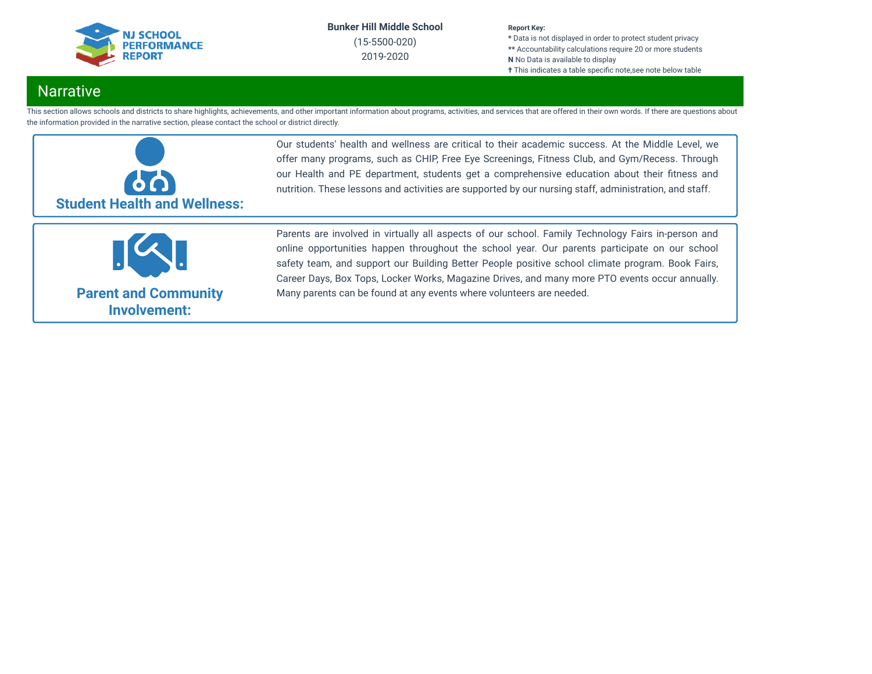

(15-5500-020) 2019-2020

#### **Report Key:**

**\*** Data is not displayed in order to protect student privacy **\*\*** Accountability calculations require 20 or more students **N** No Data is available to display **†** This indicates a table specific note, see note below table

## **Narrative**

This section allows schools and districts to share highlights, achievements, and other important information about programs, activities, and services that are offered in their own words. If there are questions about the information provided in the narrative section, please contact the school or district directly.



Our students' health and wellness are critical to their academic success. At the Middle Level, we offer many programs, such as CHIP, Free Eye Screenings, Fitness Club, and Gym/Recess. Through our Health and PE department, students get a comprehensive education about their fitness and nutrition. These lessons and activities are supported by our nursing staff, administration, and staff.



**Parent and Community Involvement:**

Parents are involved in virtually all aspects of our school. Family Technology Fairs in-person and online opportunities happen throughout the school year. Our parents participate on our school safety team, and support our Building Better People positive school climate program. Book Fairs, Career Days, Box Tops, Locker Works, Magazine Drives, and many more PTO events occur annually. Many parents can be found at any events where volunteers are needed.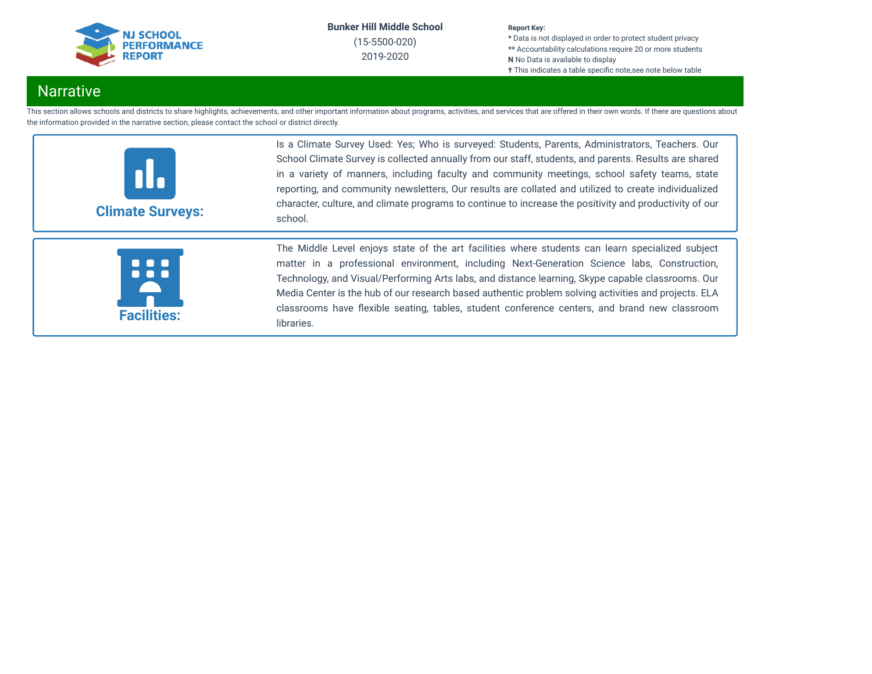

(15-5500-020) 2019-2020

#### **Report Key:**

**\*** Data is not displayed in order to protect student privacy **\*\*** Accountability calculations require 20 or more students **N** No Data is available to display **†** This indicates a table specific note, see note below table

## **Narrative**

This section allows schools and districts to share highlights, achievements, and other important information about programs, activities, and services that are offered in their own words. If there are questions about the information provided in the narrative section, please contact the school or district directly.



Is a Climate Survey Used: Yes; Who is surveyed: Students, Parents, Administrators, Teachers. Our School Climate Survey is collected annually from our staff, students, and parents. Results are shared in a variety of manners, including faculty and community meetings, school safety teams, state reporting, and community newsletters, Our results are collated and utilized to create individualized character, culture, and climate programs to continue to increase the positivity and productivity of our school.



The Middle Level enjoys state of the art facilities where students can learn specialized subject matter in a professional environment, including Next-Generation Science labs, Construction, Technology, and Visual/Performing Arts labs, and distance learning, Skype capable classrooms. Our Media Center is the hub of our research based authentic problem solving activities and projects. ELA classrooms have flexible seating, tables, student conference centers, and brand new classroom libraries.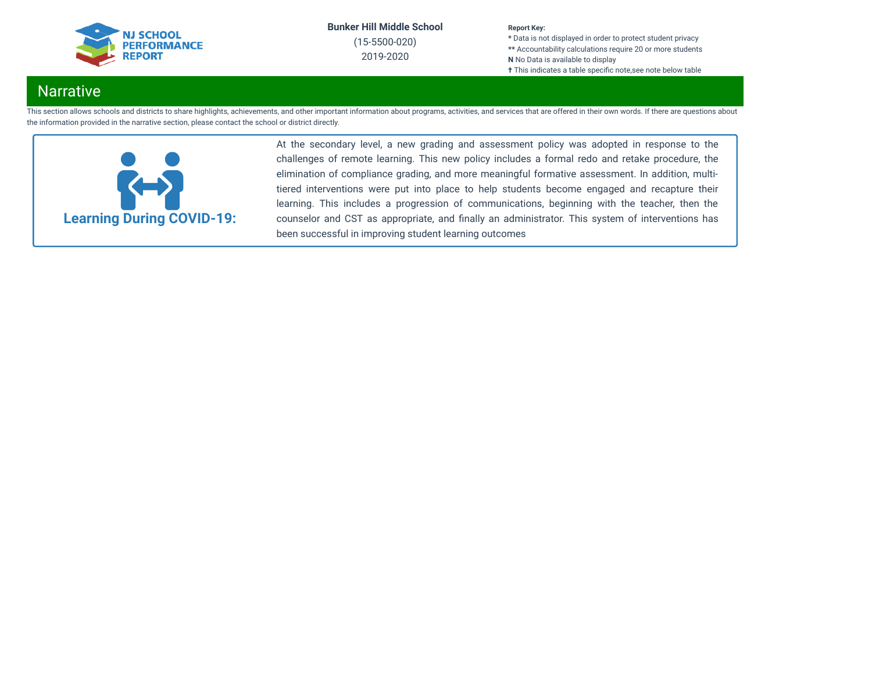

(15-5500-020) 2019-2020

#### **Report Key:**

**\*** Data is not displayed in order to protect student privacy **\*\*** Accountability calculations require 20 or more students **N** No Data is available to display **†** This indicates a table specific note, see note below table

## **Narrative**

This section allows schools and districts to share highlights, achievements, and other important information about programs, activities, and services that are offered in their own words. If there are questions about the information provided in the narrative section, please contact the school or district directly.



At the secondary level, a new grading and assessment policy was adopted in response to the challenges of remote learning. This new policy includes a formal redo and retake procedure, the elimination of compliance grading, and more meaningful formative assessment. In addition, multitiered interventions were put into place to help students become engaged and recapture their learning. This includes a progression of communications, beginning with the teacher, then the counselor and CST as appropriate, and finally an administrator. This system of interventions has been successful in improving student learning outcomes